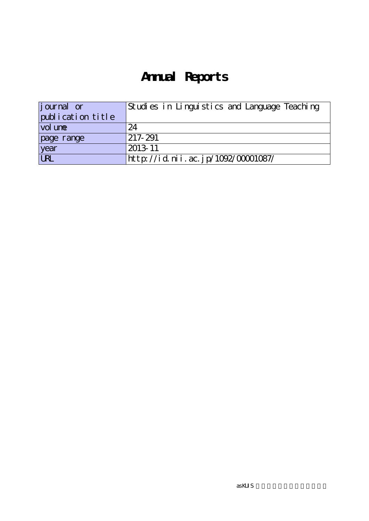# **Annual Reports**

| <i>j</i> ournal or | Studies in Linguistics and Language Teaching |  |
|--------------------|----------------------------------------------|--|
| publication title  |                                              |  |
| vol une            | 24                                           |  |
| page range         | 217-291                                      |  |
| year               | 2013-11                                      |  |
| URL                | http://id.nii.ac.jp/1092/00001087/           |  |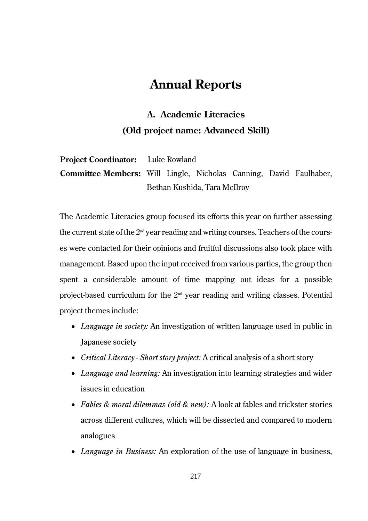# **Annual Reports**

# **A. Academic Literacies (Old project name: Advanced Skill)**

**Project Coordinator:** Luke Rowland **Committee Members:** Will Lingle, Nicholas Canning, David Faulhaber, Bethan Kushida, Tara McIlroy

The Academic Literacies group focused its efforts this year on further assessing the current state of the 2nd year reading and writing courses. Teachers of the courses were contacted for their opinions and fruitful discussions also took place with management. Based upon the input received from various parties, the group then spent a considerable amount of time mapping out ideas for a possible project-based curriculum for the  $2<sup>nd</sup>$  year reading and writing classes. Potential project themes include:

- *Language in society:* An investigation of written language used in public in Japanese society
- *Critical Literacy Short story project:* A critical analysis of a short story
- *Language and learning:* An investigation into learning strategies and wider issues in education
- *Fables & moral dilemmas (old & new):* A look at fables and trickster stories across different cultures, which will be dissected and compared to modern analogues
- *Language in Business:* An exploration of the use of language in business,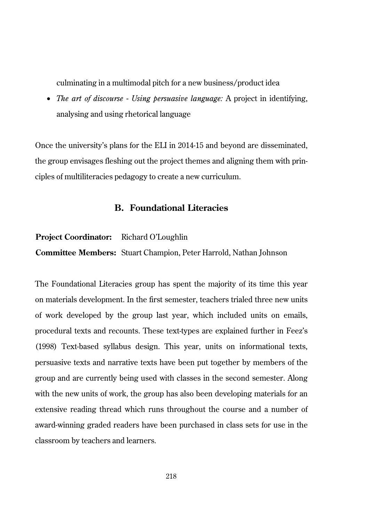culminating in a multimodal pitch for a new business/product idea

• *The art of discourse - Using persuasive language:* A project in identifying, analysing and using rhetorical language

Once the university's plans for the ELI in 2014-15 and beyond are disseminated, the group envisages fleshing out the project themes and aligning them with principles of multiliteracies pedagogy to create a new curriculum.

# **B. Foundational Literacies**

#### **Project Coordinator:** Richard O'Loughlin

**Committee Members:** Stuart Champion, Peter Harrold, Nathan Johnson

The Foundational Literacies group has spent the majority of its time this year on materials development. In the first semester, teachers trialed three new units of work developed by the group last year, which included units on emails, procedural texts and recounts. These text-types are explained further in Feez's (1998) Text-based syllabus design. This year, units on informational texts, persuasive texts and narrative texts have been put together by members of the group and are currently being used with classes in the second semester. Along with the new units of work, the group has also been developing materials for an extensive reading thread which runs throughout the course and a number of award-winning graded readers have been purchased in class sets for use in the classroom by teachers and learners.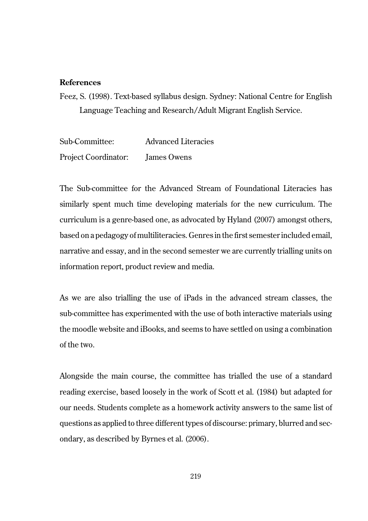## **References**

Feez, S. (1998). Text-based syllabus design. Sydney: National Centre for English Language Teaching and Research/Adult Migrant English Service.

Sub-Committee: Advanced Literacies Project Coordinator: James Owens

The Sub-committee for the Advanced Stream of Foundational Literacies has similarly spent much time developing materials for the new curriculum. The curriculum is a genre-based one, as advocated by Hyland (2007) amongst others, based on a pedagogy of multiliteracies. Genres in the first semester included email, narrative and essay, and in the second semester we are currently trialling units on information report, product review and media.

As we are also trialling the use of iPads in the advanced stream classes, the sub-committee has experimented with the use of both interactive materials using the moodle website and iBooks, and seems to have settled on using a combination of the two.

Alongside the main course, the committee has trialled the use of a standard reading exercise, based loosely in the work of Scott et al. (1984) but adapted for our needs. Students complete as a homework activity answers to the same list of questions as applied to three different types of discourse: primary, blurred and secondary, as described by Byrnes et al. (2006).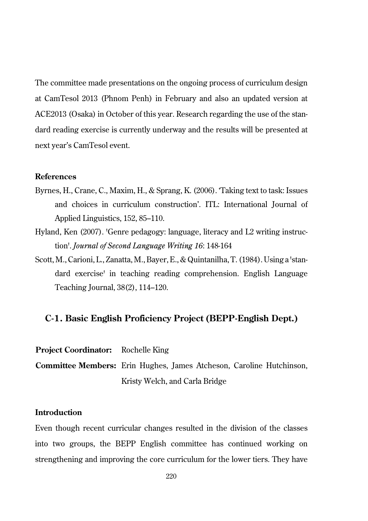The committee made presentations on the ongoing process of curriculum design at CamTesol 2013 (Phnom Penh) in February and also an updated version at ACE2013 (Osaka) in October of this year. Research regarding the use of the standard reading exercise is currently underway and the results will be presented at next year's CamTesol event.

#### **References**

- Byrnes, H., Crane, C., Maxim, H., & Sprang, K. (2006). 'Taking text to task: Issues and choices in curriculum construction'. ITL: International Journal of Applied Linguistics, 152, 85–110.
- Hyland, Ken (2007). 'Genre pedagogy: language, literacy and L2 writing instruction'. *Journal of Second Language Writing 16*: 148-164
- Scott, M., Carioni, L., Zanatta, M., Bayer, E., & Quintanilha, T. (1984). Using a 'standard exercise' in teaching reading comprehension. English Language Teaching Journal, 38(2), 114–120.

# **C-1. Basic English Proficiency Project (BEPP-English Dept.)**

**Project Coordinator:** Rochelle King

**Committee Members:** Erin Hughes, James Atcheson, Caroline Hutchinson, Kristy Welch, and Carla Bridge

# **Introduction**

Even though recent curricular changes resulted in the division of the classes into two groups, the BEPP English committee has continued working on strengthening and improving the core curriculum for the lower tiers. They have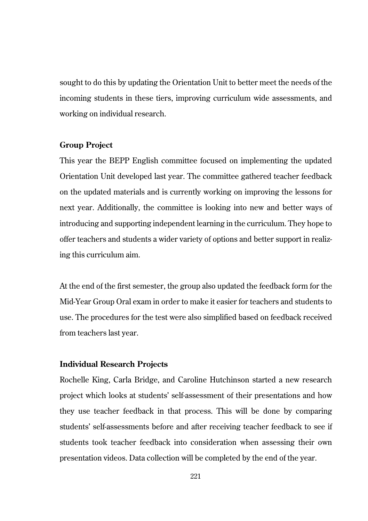sought to do this by updating the Orientation Unit to better meet the needs of the incoming students in these tiers, improving curriculum wide assessments, and working on individual research.

#### **Group Project**

This year the BEPP English committee focused on implementing the updated Orientation Unit developed last year. The committee gathered teacher feedback on the updated materials and is currently working on improving the lessons for next year. Additionally, the committee is looking into new and better ways of introducing and supporting independent learning in the curriculum. They hope to offer teachers and students a wider variety of options and better support in realizing this curriculum aim.

At the end of the first semester, the group also updated the feedback form for the Mid-Year Group Oral exam in order to make it easier for teachers and students to use. The procedures for the test were also simplified based on feedback received from teachers last year.

#### **Individual Research Projects**

Rochelle King, Carla Bridge, and Caroline Hutchinson started a new research project which looks at students' self-assessment of their presentations and how they use teacher feedback in that process. This will be done by comparing students' self-assessments before and after receiving teacher feedback to see if students took teacher feedback into consideration when assessing their own presentation videos. Data collection will be completed by the end of the year.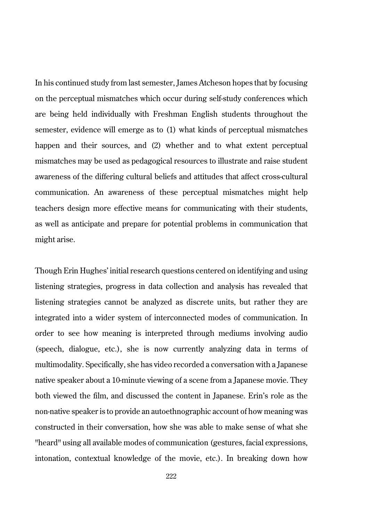In his continued study from last semester, James Atcheson hopes that by focusing on the perceptual mismatches which occur during self-study conferences which are being held individually with Freshman English students throughout the semester, evidence will emerge as to (1) what kinds of perceptual mismatches happen and their sources, and (2) whether and to what extent perceptual mismatches may be used as pedagogical resources to illustrate and raise student awareness of the differing cultural beliefs and attitudes that affect cross-cultural communication. An awareness of these perceptual mismatches might help teachers design more effective means for communicating with their students, as well as anticipate and prepare for potential problems in communication that might arise.

Though Erin Hughes' initial research questions centered on identifying and using listening strategies, progress in data collection and analysis has revealed that listening strategies cannot be analyzed as discrete units, but rather they are integrated into a wider system of interconnected modes of communication. In order to see how meaning is interpreted through mediums involving audio (speech, dialogue, etc.), she is now currently analyzing data in terms of multimodality. Specifically, she has video recorded a conversation with a Japanese native speaker about a 10-minute viewing of a scene from a Japanese movie. They both viewed the film, and discussed the content in Japanese. Erin's role as the non-native speaker is to provide an autoethnographic account of how meaning was constructed in their conversation, how she was able to make sense of what she "heard" using all available modes of communication (gestures, facial expressions, intonation, contextual knowledge of the movie, etc.). In breaking down how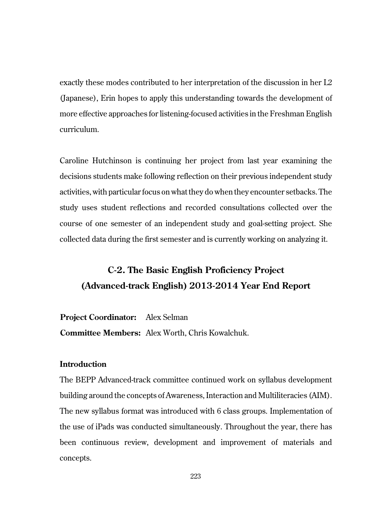exactly these modes contributed to her interpretation of the discussion in her L2 (Japanese), Erin hopes to apply this understanding towards the development of more effective approaches for listening-focused activities in the Freshman English curriculum.

Caroline Hutchinson is continuing her project from last year examining the decisions students make following reflection on their previous independent study activities, with particular focus on what they do when they encounter setbacks. The study uses student reflections and recorded consultations collected over the course of one semester of an independent study and goal-setting project. She collected data during the first semester and is currently working on analyzing it.

# **C-2. The Basic English Proficiency Project (Advanced-track English) 2013-2014 Year End Report**

**Project Coordinator:** Alex Selman **Committee Members:** Alex Worth, Chris Kowalchuk.

# **Introduction**

The BEPP Advanced-track committee continued work on syllabus development building around the concepts of Awareness, Interaction and Multiliteracies (AIM). The new syllabus format was introduced with 6 class groups. Implementation of the use of iPads was conducted simultaneously. Throughout the year, there has been continuous review, development and improvement of materials and concepts.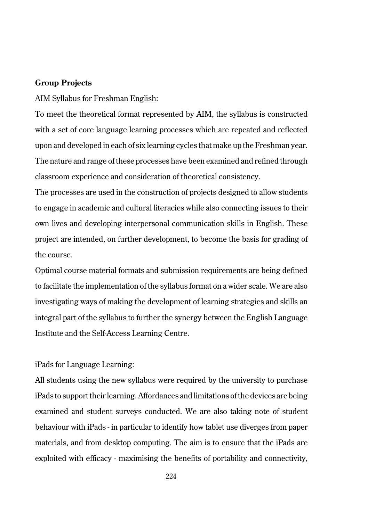## **Group Projects**

AIM Syllabus for Freshman English:

To meet the theoretical format represented by AIM, the syllabus is constructed with a set of core language learning processes which are repeated and reflected upon and developed in each of six learning cycles that make up the Freshman year. The nature and range of these processes have been examined and refined through classroom experience and consideration of theoretical consistency.

The processes are used in the construction of projects designed to allow students to engage in academic and cultural literacies while also connecting issues to their own lives and developing interpersonal communication skills in English. These project are intended, on further development, to become the basis for grading of the course.

Optimal course material formats and submission requirements are being defined to facilitate the implementation of the syllabus format on a wider scale. We are also investigating ways of making the development of learning strategies and skills an integral part of the syllabus to further the synergy between the English Language Institute and the Self-Access Learning Centre.

### iPads for Language Learning:

All students using the new syllabus were required by the university to purchase iPads to support their learning. Affordances and limitations of the devices are being examined and student surveys conducted. We are also taking note of student behaviour with iPads - in particular to identify how tablet use diverges from paper materials, and from desktop computing. The aim is to ensure that the iPads are exploited with efficacy - maximising the benefits of portability and connectivity,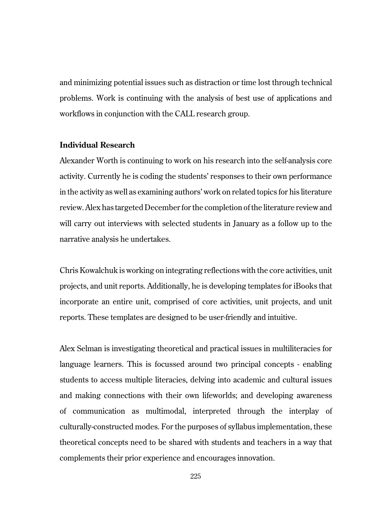and minimizing potential issues such as distraction or time lost through technical problems. Work is continuing with the analysis of best use of applications and workflows in conjunction with the CALL research group.

# **Individual Research**

Alexander Worth is continuing to work on his research into the self-analysis core activity. Currently he is coding the students' responses to their own performance in the activity as well as examining authors' work on related topics for his literature review. Alex has targeted December for the completion of the literature review and will carry out interviews with selected students in January as a follow up to the narrative analysis he undertakes.

Chris Kowalchuk is working on integrating reflections with the core activities, unit projects, and unit reports. Additionally, he is developing templates for iBooks that incorporate an entire unit, comprised of core activities, unit projects, and unit reports. These templates are designed to be user-friendly and intuitive.

Alex Selman is investigating theoretical and practical issues in multiliteracies for language learners. This is focussed around two principal concepts - enabling students to access multiple literacies, delving into academic and cultural issues and making connections with their own lifeworlds; and developing awareness of communication as multimodal, interpreted through the interplay of culturally-constructed modes. For the purposes of syllabus implementation, these theoretical concepts need to be shared with students and teachers in a way that complements their prior experience and encourages innovation.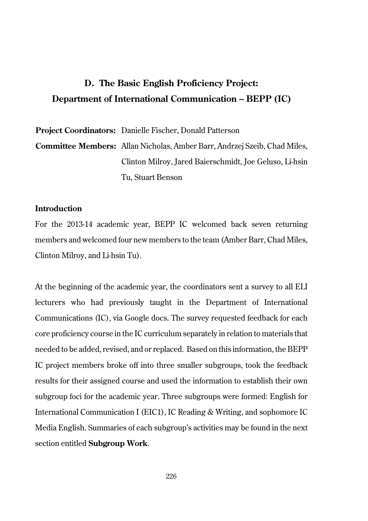# **D. The Basic English Proficiency Project: Department of International Communication – BEPP (IC)**

**Project Coordinators:** Danielle Fischer, Donald Patterson

**Committee Members:** Allan Nicholas, Amber Barr, Andrzej Szeib, Chad Miles, Clinton Milroy, Jared Baierschmidt, Joe Geluso, Li-hsin Tu, Stuart Benson

#### **Introduction**

For the 2013-14 academic year, BEPP IC welcomed back seven returning members and welcomed four new members to the team (Amber Barr, Chad Miles, Clinton Milroy, and Li-hsin Tu).

At the beginning of the academic year, the coordinators sent a survey to all ELI lecturers who had previously taught in the Department of International Communications (IC), via Google docs. The survey requested feedback for each core proficiency course in the IC curriculum separately in relation to materials that needed to be added, revised, and or replaced. Based on this information, the BEPP IC project members broke off into three smaller subgroups, took the feedback results for their assigned course and used the information to establish their own subgroup foci for the academic year. Three subgroups were formed: English for International Communication I (EIC1), IC Reading & Writing, and sophomore IC Media English. Summaries of each subgroup's activities may be found in the next section entitled **Subgroup Work**.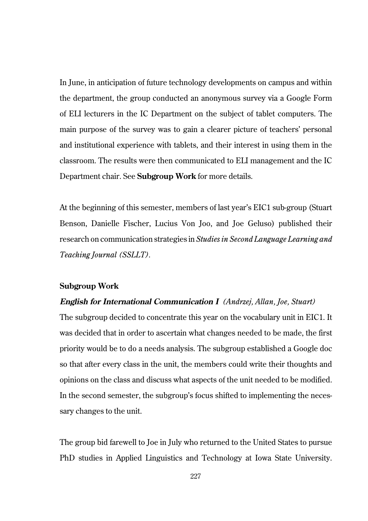In June, in anticipation of future technology developments on campus and within the department, the group conducted an anonymous survey via a Google Form of ELI lecturers in the IC Department on the subject of tablet computers. The main purpose of the survey was to gain a clearer picture of teachers' personal and institutional experience with tablets, and their interest in using them in the classroom. The results were then communicated to ELI management and the IC Department chair. See **Subgroup Work** for more details.

At the beginning of this semester, members of last year's EIC1 sub-group (Stuart Benson, Danielle Fischer, Lucius Von Joo, and Joe Geluso) published their research on communication strategies in *Studies in Second Language Learning and Teaching Journal (SSLLT).*

# **Subgroup Work**

## **English for International Communication I** *(Andrzej, Allan, Joe, Stuart)*

The subgroup decided to concentrate this year on the vocabulary unit in EIC1. It was decided that in order to ascertain what changes needed to be made, the first priority would be to do a needs analysis. The subgroup established a Google doc so that after every class in the unit, the members could write their thoughts and opinions on the class and discuss what aspects of the unit needed to be modified. In the second semester, the subgroup's focus shifted to implementing the necessary changes to the unit.

The group bid farewell to Joe in July who returned to the United States to pursue PhD studies in Applied Linguistics and Technology at Iowa State University.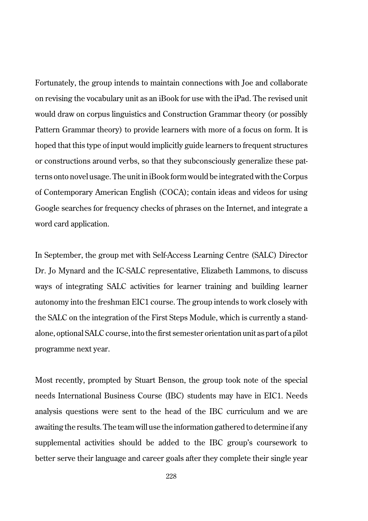Fortunately, the group intends to maintain connections with Joe and collaborate on revising the vocabulary unit as an iBook for use with the iPad. The revised unit would draw on corpus linguistics and Construction Grammar theory (or possibly Pattern Grammar theory) to provide learners with more of a focus on form. It is hoped that this type of input would implicitly guide learners to frequent structures or constructions around verbs, so that they subconsciously generalize these patterns onto novel usage. The unit in iBook form would be integrated with the Corpus of Contemporary American English (COCA); contain ideas and videos for using Google searches for frequency checks of phrases on the Internet, and integrate a word card application.

In September, the group met with Self-Access Learning Centre (SALC) Director Dr. Jo Mynard and the IC-SALC representative, Elizabeth Lammons, to discuss ways of integrating SALC activities for learner training and building learner autonomy into the freshman EIC1 course. The group intends to work closely with the SALC on the integration of the First Steps Module, which is currently a standalone, optional SALC course, into the first semester orientation unit as part of a pilot programme next year.

Most recently, prompted by Stuart Benson, the group took note of the special needs International Business Course (IBC) students may have in EIC1. Needs analysis questions were sent to the head of the IBC curriculum and we are awaiting the results. The team will use the information gathered to determine if any supplemental activities should be added to the IBC group's coursework to better serve their language and career goals after they complete their single year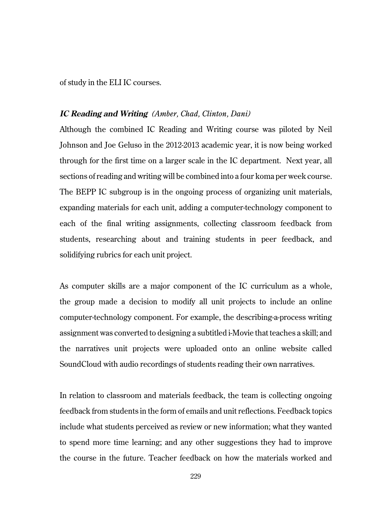of study in the ELI IC courses.

# **IC Reading and Writing** *(Amber, Chad, Clinton, Dani)*

Although the combined IC Reading and Writing course was piloted by Neil Johnson and Joe Geluso in the 2012-2013 academic year, it is now being worked through for the first time on a larger scale in the IC department. Next year, all sections of reading and writing will be combined into a four koma per week course. The BEPP IC subgroup is in the ongoing process of organizing unit materials, expanding materials for each unit, adding a computer-technology component to each of the final writing assignments, collecting classroom feedback from students, researching about and training students in peer feedback, and solidifying rubrics for each unit project.

As computer skills are a major component of the IC curriculum as a whole, the group made a decision to modify all unit projects to include an online computer-technology component. For example, the describing-a-process writing assignment was converted to designing a subtitled i-Movie that teaches a skill; and the narratives unit projects were uploaded onto an online website called SoundCloud with audio recordings of students reading their own narratives.

In relation to classroom and materials feedback, the team is collecting ongoing feedback from students in the form of emails and unit reflections. Feedback topics include what students perceived as review or new information; what they wanted to spend more time learning; and any other suggestions they had to improve the course in the future. Teacher feedback on how the materials worked and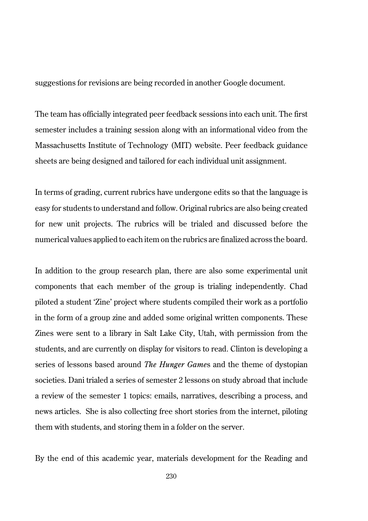suggestions for revisions are being recorded in another Google document.

The team has officially integrated peer feedback sessions into each unit. The first semester includes a training session along with an informational video from the Massachusetts Institute of Technology (MIT) website. Peer feedback guidance sheets are being designed and tailored for each individual unit assignment.

In terms of grading, current rubrics have undergone edits so that the language is easy for students to understand and follow. Original rubrics are also being created for new unit projects. The rubrics will be trialed and discussed before the numerical values applied to each item on the rubrics are finalized across the board.

In addition to the group research plan, there are also some experimental unit components that each member of the group is trialing independently. Chad piloted a student 'Zine' project where students compiled their work as a portfolio in the form of a group zine and added some original written components. These Zines were sent to a library in Salt Lake City, Utah, with permission from the students, and are currently on display for visitors to read. Clinton is developing a series of lessons based around *The Hunger Game*s and the theme of dystopian societies. Dani trialed a series of semester 2 lessons on study abroad that include a review of the semester 1 topics: emails, narratives, describing a process, and news articles. She is also collecting free short stories from the internet, piloting them with students, and storing them in a folder on the server.

By the end of this academic year, materials development for the Reading and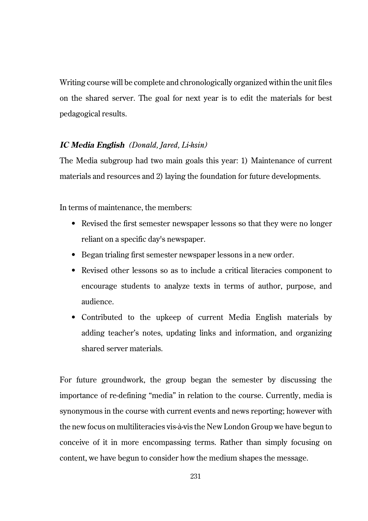Writing course will be complete and chronologically organized within the unit files on the shared server. The goal for next year is to edit the materials for best pedagogical results.

# **IC Media English** *(Donald, Jared, Li-hsin)*

The Media subgroup had two main goals this year: 1) Maintenance of current materials and resources and 2) laying the foundation for future developments.

In terms of maintenance, the members:

- Revised the first semester newspaper lessons so that they were no longer reliant on a specific day's newspaper.
- Began trialing first semester newspaper lessons in a new order.
- Revised other lessons so as to include a critical literacies component to encourage students to analyze texts in terms of author, purpose, and audience.
- Contributed to the upkeep of current Media English materials by adding teacher's notes, updating links and information, and organizing shared server materials.

For future groundwork, the group began the semester by discussing the importance of re-defining "media" in relation to the course. Currently, media is synonymous in the course with current events and news reporting; however with the new focus on multiliteracies vis-à-vis the New London Group we have begun to conceive of it in more encompassing terms. Rather than simply focusing on content, we have begun to consider how the medium shapes the message.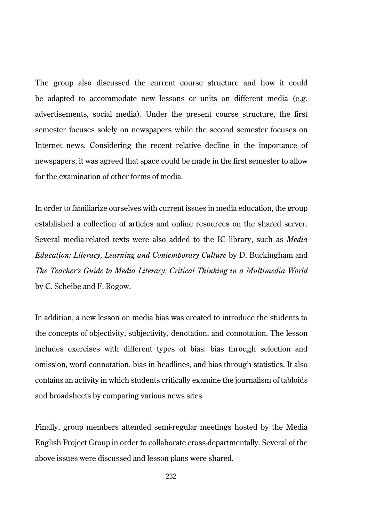The group also discussed the current course structure and how it could be adapted to accommodate new lessons or units on different media (e.g. advertisements, social media). Under the present course structure, the first semester focuses solely on newspapers while the second semester focuses on Internet news. Considering the recent relative decline in the importance of newspapers, it was agreed that space could be made in the first semester to allow for the examination of other forms of media.

In order to familiarize ourselves with current issues in media education, the group established a collection of articles and online resources on the shared server. Several media-related texts were also added to the IC library, such as *Media Education: Literacy, Learning and Contemporary Culture* by D. Buckingham and *The Teacher's Guide to Media Literacy: Critical Thinking in a Multimedia World* by C. Scheibe and F. Rogow.

In addition, a new lesson on media bias was created to introduce the students to the concepts of objectivity, subjectivity, denotation, and connotation. The lesson includes exercises with different types of bias: bias through selection and omission, word connotation, bias in headlines, and bias through statistics. It also contains an activity in which students critically examine the journalism of tabloids and broadsheets by comparing various news sites.

Finally, group members attended semi-regular meetings hosted by the Media English Project Group in order to collaborate cross-departmentally. Several of the above issues were discussed and lesson plans were shared.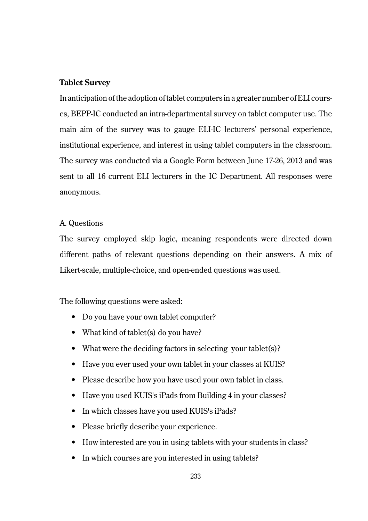# **Tablet Survey**

In anticipation of the adoption of tablet computers in a greater number of ELI courses, BEPP-IC conducted an intra-departmental survey on tablet computer use. The main aim of the survey was to gauge ELI-IC lecturers' personal experience, institutional experience, and interest in using tablet computers in the classroom. The survey was conducted via a Google Form between June 17-26, 2013 and was sent to all 16 current ELI lecturers in the IC Department. All responses were anonymous.

# A. Questions

The survey employed skip logic, meaning respondents were directed down different paths of relevant questions depending on their answers. A mix of Likert-scale, multiple-choice, and open-ended questions was used.

The following questions were asked:

- Do you have your own tablet computer?
- What kind of tablet(s) do you have?
- What were the deciding factors in selecting your tablet(s)?
- Have you ever used your own tablet in your classes at KUIS?
- Please describe how you have used your own tablet in class.
- Have you used KUIS's iPads from Building 4 in your classes?
- In which classes have you used KUIS's iPads?
- Please briefly describe your experience.
- How interested are you in using tablets with your students in class?
- In which courses are you interested in using tablets?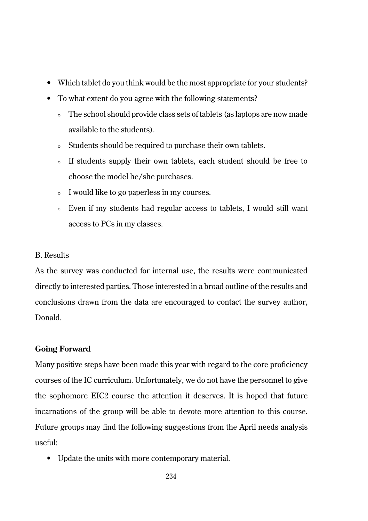- Which tablet do you think would be the most appropriate for your students?
- To what extent do you agree with the following statements?
	- The school should provide class sets of tablets (as laptops are now made available to the students).
	- Students should be required to purchase their own tablets.
	- If students supply their own tablets, each student should be free to choose the model he/she purchases.
	- ° I would like to go paperless in my courses.
	- ° Even if my students had regular access to tablets, I would still want access to PCs in my classes.

# B. Results

As the survey was conducted for internal use, the results were communicated directly to interested parties. Those interested in a broad outline of the results and conclusions drawn from the data are encouraged to contact the survey author, Donald.

# **Going Forward**

Many positive steps have been made this year with regard to the core proficiency courses of the IC curriculum. Unfortunately, we do not have the personnel to give the sophomore EIC2 course the attention it deserves. It is hoped that future incarnations of the group will be able to devote more attention to this course. Future groups may find the following suggestions from the April needs analysis useful:

• Update the units with more contemporary material.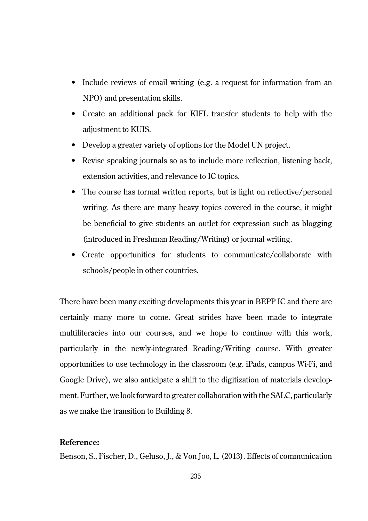- Include reviews of email writing (e.g. a request for information from an NPO) and presentation skills.
- Create an additional pack for KIFL transfer students to help with the adjustment to KUIS.
- Develop a greater variety of options for the Model UN project.
- Revise speaking journals so as to include more reflection, listening back, extension activities, and relevance to IC topics.
- The course has formal written reports, but is light on reflective/personal writing. As there are many heavy topics covered in the course, it might be beneficial to give students an outlet for expression such as blogging (introduced in Freshman Reading/Writing) or journal writing.
- Create opportunities for students to communicate/collaborate with schools/people in other countries.

There have been many exciting developments this year in BEPP IC and there are certainly many more to come. Great strides have been made to integrate multiliteracies into our courses, and we hope to continue with this work, particularly in the newly-integrated Reading/Writing course. With greater opportunities to use technology in the classroom (e.g. iPads, campus Wi-Fi, and Google Drive), we also anticipate a shift to the digitization of materials development. Further, we look forward to greater collaboration with the SALC, particularly as we make the transition to Building 8.

# **Reference:**

Benson, S., Fischer, D., Geluso, J., & Von Joo, L. (2013). Effects of communication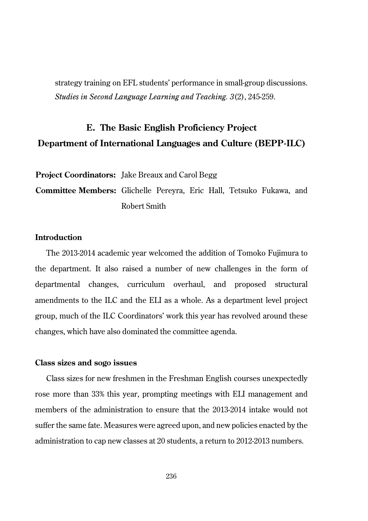strategy training on EFL students' performance in small-group discussions. *Studies in Second Language Learning and Teaching. 3*(2), 245-259.

# **E. The Basic English Proficiency Project Department of International Languages and Culture (BEPP-ILC)**

**Project Coordinators:** Jake Breaux and Carol Begg

**Committee Members:** Glichelle Pereyra, Eric Hall, Tetsuko Fukawa, and Robert Smith

# **Introduction**

The 2013-2014 academic year welcomed the addition of Tomoko Fujimura to the department. It also raised a number of new challenges in the form of departmental changes, curriculum overhaul, and proposed structural amendments to the ILC and the ELI as a whole. As a department level project group, much of the ILC Coordinators' work this year has revolved around these changes, which have also dominated the committee agenda.

## **Class sizes and sogo issues**

Class sizes for new freshmen in the Freshman English courses unexpectedly rose more than 33% this year, prompting meetings with ELI management and members of the administration to ensure that the 2013-2014 intake would not suffer the same fate. Measures were agreed upon, and new policies enacted by the administration to cap new classes at 20 students, a return to 2012-2013 numbers.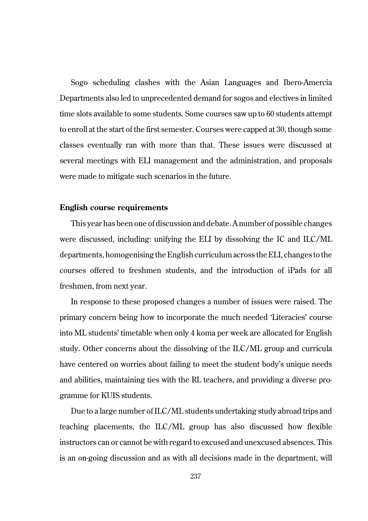Sogo scheduling clashes with the Asian Languages and Ibero-Amercia Departments also led to unprecedented demand for sogos and electives in limited time slots available to some students. Some courses saw up to 60 students attempt to enroll at the start of the first semester. Courses were capped at 30, though some classes eventually ran with more than that. These issues were discussed at several meetings with ELI management and the administration, and proposals were made to mitigate such scenarios in the future.

## **English course requirements**

This year has been one of discussion and debate. A number of possible changes were discussed, including: unifying the ELI by dissolving the IC and ILC/ML departments, homogenising the English curriculum across the ELI, changes to the courses offered to freshmen students, and the introduction of iPads for all freshmen, from next year.

In response to these proposed changes a number of issues were raised. The primary concern being how to incorporate the much needed 'Literacies' course into ML students' timetable when only 4 koma per week are allocated for English study. Other concerns about the dissolving of the ILC/ML group and curricula have centered on worries about failing to meet the student body's unique needs and abilities, maintaining ties with the RL teachers, and providing a diverse programme for KUIS students.

Due to a large number of ILC/ML students undertaking study abroad trips and teaching placements, the ILC/ML group has also discussed how flexible instructors can or cannot be with regard to excused and unexcused absences. This is an on-going discussion and as with all decisions made in the department, will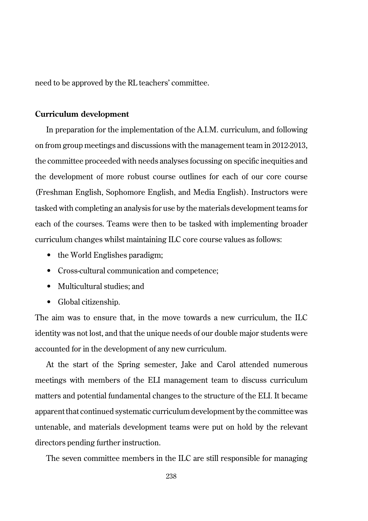need to be approved by the RL teachers' committee.

#### **Curriculum development**

In preparation for the implementation of the A.I.M. curriculum, and following on from group meetings and discussions with the management team in 2012-2013, the committee proceeded with needs analyses focussing on specific inequities and the development of more robust course outlines for each of our core course (Freshman English, Sophomore English, and Media English). Instructors were tasked with completing an analysis for use by the materials development teams for each of the courses. Teams were then to be tasked with implementing broader curriculum changes whilst maintaining ILC core course values as follows:

- the World Englishes paradigm;
- Cross-cultural communication and competence;
- Multicultural studies; and
- Global citizenship.

The aim was to ensure that, in the move towards a new curriculum, the ILC identity was not lost, and that the unique needs of our double major students were accounted for in the development of any new curriculum.

At the start of the Spring semester, Jake and Carol attended numerous meetings with members of the ELI management team to discuss curriculum matters and potential fundamental changes to the structure of the ELI. It became apparent that continued systematic curriculum development by the committee was untenable, and materials development teams were put on hold by the relevant directors pending further instruction.

The seven committee members in the  $IL$  are still responsible for managing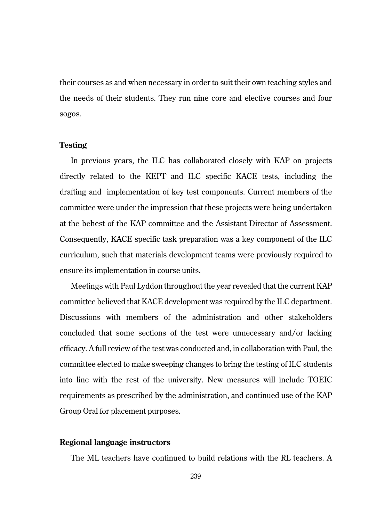their courses as and when necessary in order to suit their own teaching styles and the needs of their students. They run nine core and elective courses and four sogos.

#### **Testing**

In previous years, the ILC has collaborated closely with KAP on projects directly related to the KEPT and ILC specific KACE tests, including the drafting and implementation of key test components. Current members of the committee were under the impression that these projects were being undertaken at the behest of the KAP committee and the Assistant Director of Assessment. Consequently, KACE specific task preparation was a key component of the ILC curriculum, such that materials development teams were previously required to ensure its implementation in course units.

Meetings with Paul Lyddon throughout the year revealed that the current KAP committee believed that KACE development was required by the ILC department. Discussions with members of the administration and other stakeholders concluded that some sections of the test were unnecessary and/or lacking efficacy. A full review of the test was conducted and, in collaboration with Paul, the committee elected to make sweeping changes to bring the testing of ILC students into line with the rest of the university. New measures will include TOEIC requirements as prescribed by the administration, and continued use of the KAP Group Oral for placement purposes.

# **Regional language instructors**

The ML teachers have continued to build relations with the RL teachers. A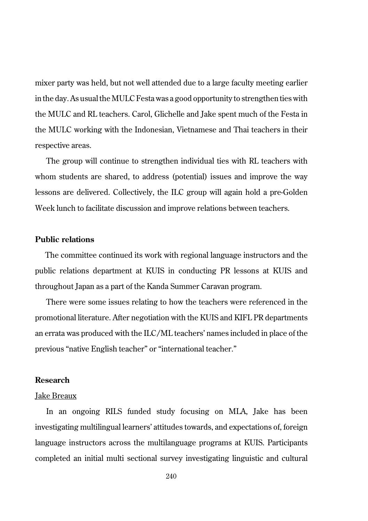mixer party was held, but not well attended due to a large faculty meeting earlier in the day. As usual the MULC Festa was a good opportunity to strengthen ties with the MULC and RL teachers. Carol, Glichelle and Jake spent much of the Festa in the MULC working with the Indonesian, Vietnamese and Thai teachers in their respective areas.

The group will continue to strengthen individual ties with RL teachers with whom students are shared, to address (potential) issues and improve the way lessons are delivered. Collectively, the ILC group will again hold a pre-Golden Week lunch to facilitate discussion and improve relations between teachers.

# **Public relations**

The committee continued its work with regional language instructors and the public relations department at KUIS in conducting PR lessons at KUIS and throughout Japan as a part of the Kanda Summer Caravan program.

There were some issues relating to how the teachers were referenced in the promotional literature. After negotiation with the KUIS and KIFL PR departments an errata was produced with the ILC/ML teachers' names included in place of the previous "native English teacher" or "international teacher."

#### **Research**

#### Jake Breaux

In an ongoing RILS funded study focusing on MLA, Jake has been investigating multilingual learners' attitudes towards, and expectations of, foreign language instructors across the multilanguage programs at KUIS. Participants completed an initial multi sectional survey investigating linguistic and cultural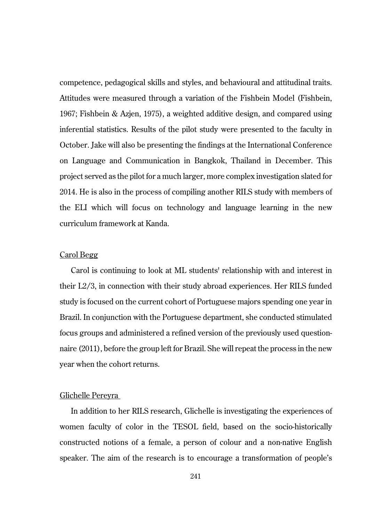competence, pedagogical skills and styles, and behavioural and attitudinal traits. Attitudes were measured through a variation of the Fishbein Model (Fishbein, 1967; Fishbein & Azjen, 1975), a weighted additive design, and compared using inferential statistics. Results of the pilot study were presented to the faculty in October. Jake will also be presenting the findings at the International Conference on Language and Communication in Bangkok, Thailand in December. This project served as the pilot for a much larger, more complex investigation slated for 2014. He is also in the process of compiling another RILS study with members of the ELI which will focus on technology and language learning in the new curriculum framework at Kanda.

# Carol Begg

Carol is continuing to look at ML students' relationship with and interest in their L2/3, in connection with their study abroad experiences. Her RILS funded study is focused on the current cohort of Portuguese majors spending one year in Brazil. In conjunction with the Portuguese department, she conducted stimulated focus groups and administered a refined version of the previously used questionnaire (2011), before the group left for Brazil. She will repeat the process in the new year when the cohort returns.

## Glichelle Pereyra

In addition to her RILS research, Glichelle is investigating the experiences of women faculty of color in the TESOL field, based on the socio-historically constructed notions of a female, a person of colour and a non-native English speaker. The aim of the research is to encourage a transformation of people's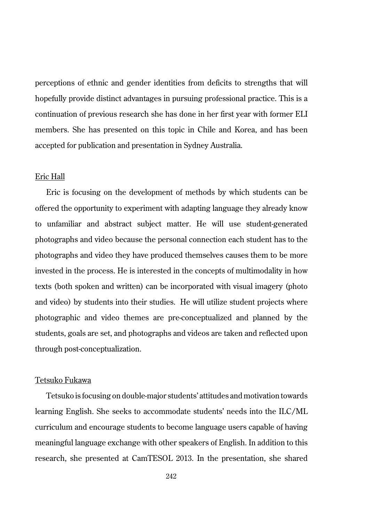perceptions of ethnic and gender identities from deficits to strengths that will hopefully provide distinct advantages in pursuing professional practice. This is a continuation of previous research she has done in her first year with former ELI members. She has presented on this topic in Chile and Korea, and has been accepted for publication and presentation in Sydney Australia.

#### Eric Hall

Eric is focusing on the development of methods by which students can be offered the opportunity to experiment with adapting language they already know to unfamiliar and abstract subject matter. He will use student-generated photographs and video because the personal connection each student has to the photographs and video they have produced themselves causes them to be more invested in the process. He is interested in the concepts of multimodality in how texts (both spoken and written) can be incorporated with visual imagery (photo and video) by students into their studies. He will utilize student projects where photographic and video themes are pre-conceptualized and planned by the students, goals are set, and photographs and videos are taken and reflected upon through post-conceptualization.

#### Tetsuko Fukawa

Tetsuko is focusing on double-major students' attitudes and motivation towards learning English. She seeks to accommodate students' needs into the ILC/ML curriculum and encourage students to become language users capable of having meaningful language exchange with other speakers of English. In addition to this research, she presented at CamTESOL 2013. In the presentation, she shared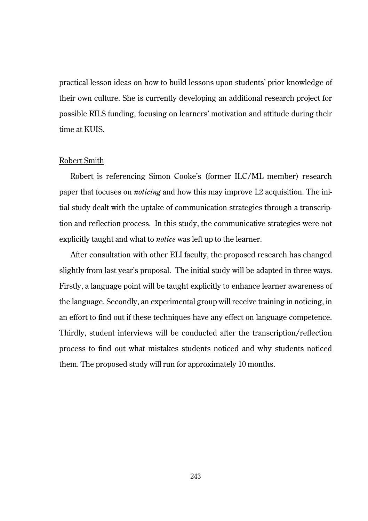practical lesson ideas on how to build lessons upon students' prior knowledge of their own culture. She is currently developing an additional research project for possible RILS funding, focusing on learners' motivation and attitude during their time at KUIS.

#### Robert Smith

Robert is referencing Simon Cooke's (former ILC/ML member) research paper that focuses on *noticing* and how this may improve L2 acquisition. The initial study dealt with the uptake of communication strategies through a transcription and reflection process. In this study, the communicative strategies were not explicitly taught and what to *notice* was left up to the learner.

After consultation with other ELI faculty, the proposed research has changed slightly from last year's proposal. The initial study will be adapted in three ways. Firstly, a language point will be taught explicitly to enhance learner awareness of the language. Secondly, an experimental group will receive training in noticing, in an effort to find out if these techniques have any effect on language competence. Thirdly, student interviews will be conducted after the transcription/reflection process to find out what mistakes students noticed and why students noticed them. The proposed study will run for approximately 10 months.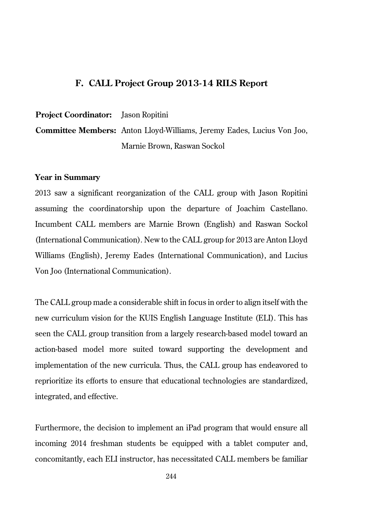# **F. CALL Project Group 2013-14 RILS Report**

**Project Coordinator:** Jason Ropitini

**Committee Members:** Anton Lloyd-Williams, Jeremy Eades, Lucius Von Joo, Marnie Brown, Raswan Sockol

#### **Year in Summary**

2013 saw a significant reorganization of the CALL group with Jason Ropitini assuming the coordinatorship upon the departure of Joachim Castellano. Incumbent CALL members are Marnie Brown (English) and Raswan Sockol (International Communication). New to the CALL group for 2013 are Anton Lloyd Williams (English), Jeremy Eades (International Communication), and Lucius Von Joo (International Communication).

The CALL group made a considerable shift in focus in order to align itself with the new curriculum vision for the KUIS English Language Institute (ELI). This has seen the CALL group transition from a largely research-based model toward an action-based model more suited toward supporting the development and implementation of the new curricula. Thus, the CALL group has endeavored to reprioritize its efforts to ensure that educational technologies are standardized, integrated, and effective.

Furthermore, the decision to implement an iPad program that would ensure all incoming 2014 freshman students be equipped with a tablet computer and, concomitantly, each ELI instructor, has necessitated CALL members be familiar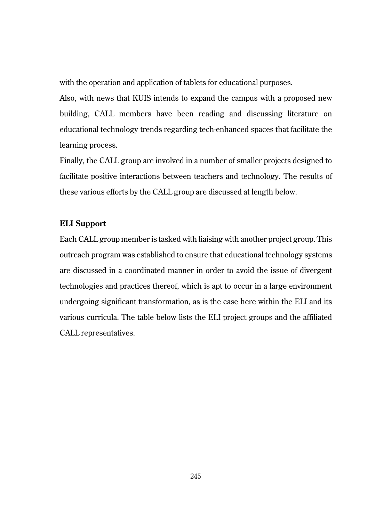with the operation and application of tablets for educational purposes.

Also, with news that KUIS intends to expand the campus with a proposed new building, CALL members have been reading and discussing literature on educational technology trends regarding tech-enhanced spaces that facilitate the learning process.

Finally, the CALL group are involved in a number of smaller projects designed to facilitate positive interactions between teachers and technology. The results of these various efforts by the CALL group are discussed at length below.

## **ELI Support**

Each CALL group member is tasked with liaising with another project group. This outreach program was established to ensure that educational technology systems are discussed in a coordinated manner in order to avoid the issue of divergent technologies and practices thereof, which is apt to occur in a large environment undergoing significant transformation, as is the case here within the ELI and its various curricula. The table below lists the ELI project groups and the affiliated CALL representatives.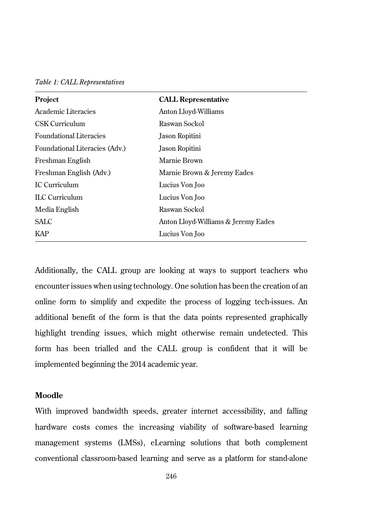| Table 1: CALL Representatives |  |
|-------------------------------|--|
|-------------------------------|--|

| Project                        | <b>CALL Representative</b>          |
|--------------------------------|-------------------------------------|
| Academic Literacies            | Anton Lloyd-Williams                |
| CSK Curriculum                 | Raswan Sockol                       |
| <b>Foundational Literacies</b> | Jason Ropitini                      |
| Foundational Literacies (Adv.) | Jason Ropitini                      |
| Freshman English               | Marnie Brown                        |
| Freshman English (Adv.)        | Marnie Brown & Jeremy Eades         |
| IC Curriculum                  | Lucius Von Joo                      |
| <b>ILC</b> Curriculum          | Lucius Von Joo                      |
| Media English                  | Raswan Sockol                       |
| <b>SALC</b>                    | Anton Lloyd-Williams & Jeremy Eades |
| <b>KAP</b>                     | Lucius Von Joo                      |

Additionally, the CALL group are looking at ways to support teachers who encounter issues when using technology. One solution has been the creation of an online form to simplify and expedite the process of logging tech-issues. An additional benefit of the form is that the data points represented graphically highlight trending issues, which might otherwise remain undetected. This form has been trialled and the CALL group is confident that it will be implemented beginning the 2014 academic year.

#### **Moodle**

With improved bandwidth speeds, greater internet accessibility, and falling hardware costs comes the increasing viability of software-based learning management systems (LMSs), eLearning solutions that both complement conventional classroom-based learning and serve as a platform for stand-alone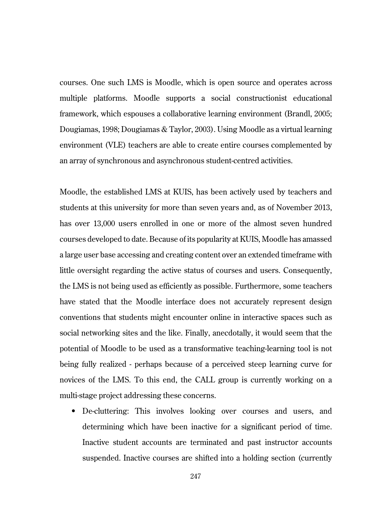courses. One such LMS is Moodle, which is open source and operates across multiple platforms. Moodle supports a social constructionist educational framework, which espouses a collaborative learning environment (Brandl, 2005; Dougiamas, 1998; Dougiamas & Taylor, 2003). Using Moodle as a virtual learning environment (VLE) teachers are able to create entire courses complemented by an array of synchronous and asynchronous student-centred activities.

Moodle, the established LMS at KUIS, has been actively used by teachers and students at this university for more than seven years and, as of November 2013, has over 13,000 users enrolled in one or more of the almost seven hundred courses developed to date. Because of its popularity at KUIS, Moodle has amassed a large user base accessing and creating content over an extended timeframe with little oversight regarding the active status of courses and users. Consequently, the LMS is not being used as efficiently as possible. Furthermore, some teachers have stated that the Moodle interface does not accurately represent design conventions that students might encounter online in interactive spaces such as social networking sites and the like. Finally, anecdotally, it would seem that the potential of Moodle to be used as a transformative teaching-learning tool is not being fully realized - perhaps because of a perceived steep learning curve for novices of the LMS. To this end, the CALL group is currently working on a multi-stage project addressing these concerns.

• De-cluttering: This involves looking over courses and users, and determining which have been inactive for a significant period of time. Inactive student accounts are terminated and past instructor accounts suspended. Inactive courses are shifted into a holding section (currently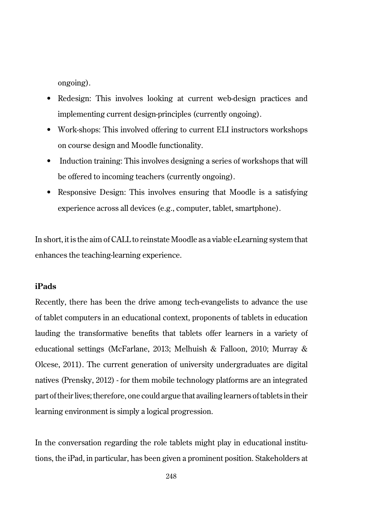ongoing).

- Redesign: This involves looking at current web-design practices and implementing current design-principles (currently ongoing).
- Work-shops: This involved offering to current ELI instructors workshops on course design and Moodle functionality.
- Induction training: This involves designing a series of workshops that will be offered to incoming teachers (currently ongoing).
- Responsive Design: This involves ensuring that Moodle is a satisfying experience across all devices (e.g., computer, tablet, smartphone).

In short, it is the aim of CALL to reinstate Moodle as a viable eLearning system that enhances the teaching-learning experience.

# **iPads**

Recently, there has been the drive among tech-evangelists to advance the use of tablet computers in an educational context, proponents of tablets in education lauding the transformative benefits that tablets offer learners in a variety of educational settings (McFarlane, 2013; Melhuish & Falloon, 2010; Murray & Olcese, 2011). The current generation of university undergraduates are digital natives (Prensky, 2012) - for them mobile technology platforms are an integrated part of their lives; therefore, one could argue that availing learners of tablets in their learning environment is simply a logical progression.

In the conversation regarding the role tablets might play in educational institutions, the iPad, in particular, has been given a prominent position. Stakeholders at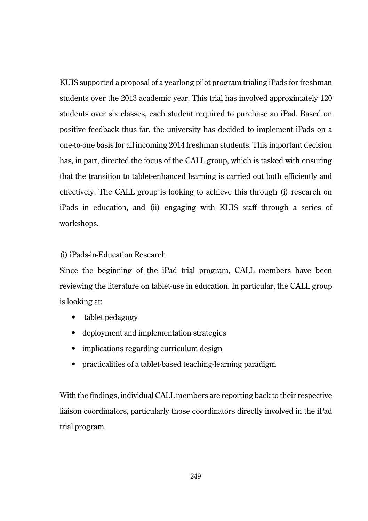KUIS supported a proposal of a yearlong pilot program trialing iPads for freshman students over the 2013 academic year. This trial has involved approximately 120 students over six classes, each student required to purchase an iPad. Based on positive feedback thus far, the university has decided to implement iPads on a one-to-one basis for all incoming 2014 freshman students. This important decision has, in part, directed the focus of the CALL group, which is tasked with ensuring that the transition to tablet-enhanced learning is carried out both efficiently and effectively. The CALL group is looking to achieve this through (i) research on iPads in education, and (ii) engaging with KUIS staff through a series of workshops.

# (i) iPads-in-Education Research

Since the beginning of the iPad trial program, CALL members have been reviewing the literature on tablet-use in education. In particular, the CALL group is looking at:

- tablet pedagogy
- deployment and implementation strategies
- implications regarding curriculum design
- practicalities of a tablet-based teaching-learning paradigm

With the findings, individual CALL members are reporting back to their respective liaison coordinators, particularly those coordinators directly involved in the iPad trial program.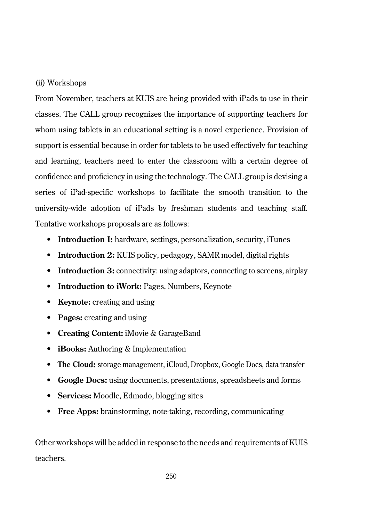#### (ii) Workshops

From November, teachers at KUIS are being provided with iPads to use in their classes. The CALL group recognizes the importance of supporting teachers for whom using tablets in an educational setting is a novel experience. Provision of support is essential because in order for tablets to be used effectively for teaching and learning, teachers need to enter the classroom with a certain degree of confidence and proficiency in using the technology. The CALL group is devising a series of iPad-specific workshops to facilitate the smooth transition to the university-wide adoption of iPads by freshman students and teaching staff. Tentative workshops proposals are as follows:

- **Introduction I:** hardware, settings, personalization, security, iTunes
- **Introduction 2:** KUIS policy, pedagogy, SAMR model, digital rights
- **Introduction 3:** connectivity: using adaptors, connecting to screens, airplay
- **Introduction to iWork:** Pages, Numbers, Keynote
- **Keynote:** creating and using
- **Pages:** creating and using
- **Creating Content:** iMovie & GarageBand
- **iBooks:** Authoring & Implementation
- **The Cloud:** storage management, iCloud, Dropbox, Google Docs, data transfer
- **Google Docs:** using documents, presentations, spreadsheets and forms
- **Services:** Moodle, Edmodo, blogging sites
- **Free Apps:** brainstorming, note-taking, recording, communicating

Other workshops will be added in response to the needs and requirements of KUIS teachers.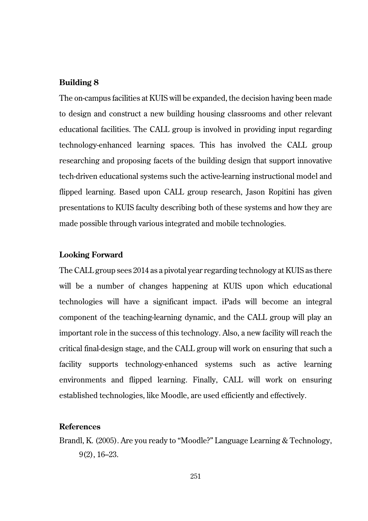## **Building 8**

The on-campus facilities at KUIS will be expanded, the decision having been made to design and construct a new building housing classrooms and other relevant educational facilities. The CALL group is involved in providing input regarding technology-enhanced learning spaces. This has involved the CALL group researching and proposing facets of the building design that support innovative tech-driven educational systems such the active-learning instructional model and flipped learning. Based upon CALL group research, Jason Ropitini has given presentations to KUIS faculty describing both of these systems and how they are made possible through various integrated and mobile technologies.

#### **Looking Forward**

The CALL group sees 2014 as a pivotal year regarding technology at KUIS as there will be a number of changes happening at KUIS upon which educational technologies will have a significant impact. iPads will become an integral component of the teaching-learning dynamic, and the CALL group will play an important role in the success of this technology. Also, a new facility will reach the critical final-design stage, and the CALL group will work on ensuring that such a facility supports technology-enhanced systems such as active learning environments and flipped learning. Finally, CALL will work on ensuring established technologies, like Moodle, are used efficiently and effectively.

# **References**

Brandl, K. (2005). Are you ready to "Moodle?" Language Learning & Technology, 9(2), 16–23.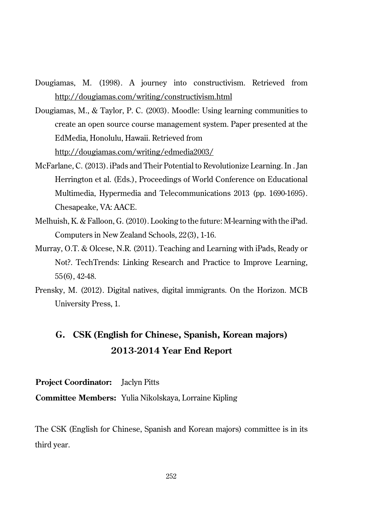- Dougiamas, M. (1998). A journey into constructivism. Retrieved from http://dougiamas.com/writing/constructivism.html
- Dougiamas, M., & Taylor, P. C. (2003). Moodle: Using learning communities to create an open source course management system. Paper presented at the EdMedia, Honolulu, Hawaii. Retrieved from http://dougiamas.com/writing/edmedia2003/
- McFarlane, C. (2013). iPads and Their Potential to Revolutionize Learning. In . Jan Herrington et al. (Eds.), Proceedings of World Conference on Educational Multimedia, Hypermedia and Telecommunications 2013 (pp. 1690-1695). Chesapeake, VA: AACE.
- Melhuish, K. & Falloon, G. (2010). Looking to the future: M-learning with the iPad. Computers in New Zealand Schools, 22(3), 1-16.
- Murray, O.T. & Olcese, N.R. (2011). Teaching and Learning with iPads, Ready or Not?. TechTrends: Linking Research and Practice to Improve Learning, 55(6), 42-48.
- Prensky, M. (2012). Digital natives, digital immigrants. On the Horizon. MCB University Press, 1.

# **G. CSK (English for Chinese, Spanish, Korean majors) 2013-2014 Year End Report**

**Project Coordinator:** Jaclyn Pitts

**Committee Members:** Yulia Nikolskaya, Lorraine Kipling

The CSK (English for Chinese, Spanish and Korean majors) committee is in its third year.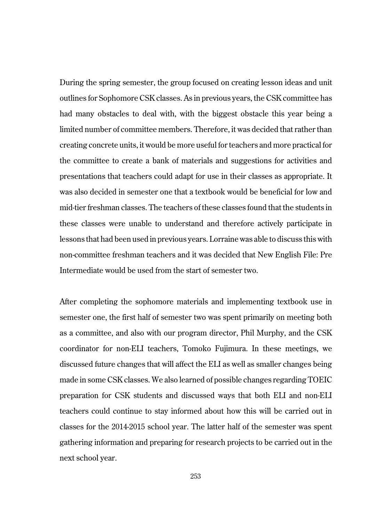During the spring semester, the group focused on creating lesson ideas and unit outlines for Sophomore CSK classes. As in previous years, the CSK committee has had many obstacles to deal with, with the biggest obstacle this year being a limited number of committee members. Therefore, it was decided that rather than creating concrete units, it would be more useful for teachers and more practical for the committee to create a bank of materials and suggestions for activities and presentations that teachers could adapt for use in their classes as appropriate. It was also decided in semester one that a textbook would be beneficial for low and mid-tier freshman classes. The teachers of these classes found that the students in these classes were unable to understand and therefore actively participate in lessons that had been used in previous years. Lorraine was able to discuss this with non-committee freshman teachers and it was decided that New English File: Pre Intermediate would be used from the start of semester two.

After completing the sophomore materials and implementing textbook use in semester one, the first half of semester two was spent primarily on meeting both as a committee, and also with our program director, Phil Murphy, and the CSK coordinator for non-ELI teachers, Tomoko Fujimura. In these meetings, we discussed future changes that will affect the ELI as well as smaller changes being made in some CSK classes. We also learned of possible changes regarding TOEIC preparation for CSK students and discussed ways that both ELI and non-ELI teachers could continue to stay informed about how this will be carried out in classes for the 2014-2015 school year. The latter half of the semester was spent gathering information and preparing for research projects to be carried out in the next school year.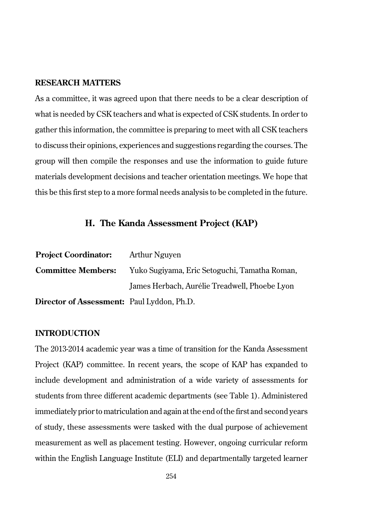### **RESEARCH MATTERS**

As a committee, it was agreed upon that there needs to be a clear description of what is needed by CSK teachers and what is expected of CSK students. In order to gather this information, the committee is preparing to meet with all CSK teachers to discuss their opinions, experiences and suggestions regarding the courses. The group will then compile the responses and use the information to guide future materials development decisions and teacher orientation meetings. We hope that this be this first step to a more formal needs analysis to be completed in the future.

## **H. The Kanda Assessment Project (KAP)**

| <b>Project Coordinator:</b>                       | <b>Arthur Nguyen</b>                          |
|---------------------------------------------------|-----------------------------------------------|
| <b>Committee Members:</b>                         | Yuko Sugiyama, Eric Setoguchi, Tamatha Roman, |
|                                                   | James Herbach, Aurélie Treadwell, Phoebe Lyon |
| <b>Director of Assessment:</b> Paul Lyddon, Ph.D. |                                               |

### **INTRODUCTION**

The 2013-2014 academic year was a time of transition for the Kanda Assessment Project (KAP) committee. In recent years, the scope of KAP has expanded to include development and administration of a wide variety of assessments for students from three different academic departments (see Table 1). Administered immediately prior to matriculation and again at the end of the first and second years of study, these assessments were tasked with the dual purpose of achievement measurement as well as placement testing. However, ongoing curricular reform within the English Language Institute (ELI) and departmentally targeted learner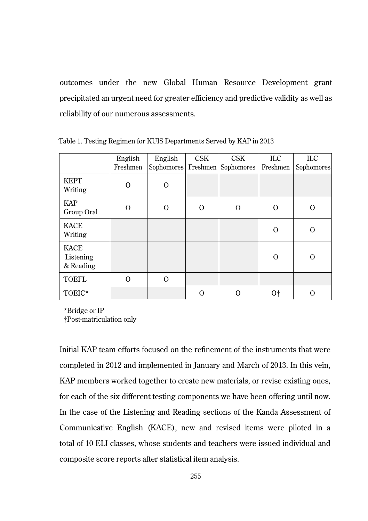outcomes under the new Global Human Resource Development grant precipitated an urgent need for greater efficiency and predictive validity as well as reliability of our numerous assessments.

|                                       | English<br>Freshmen | English<br>Sophomores | CSK      | <b>CSK</b><br>Freshmen Sophomores | <b>ILC</b><br>Freshmen | ILC<br>Sophomores |
|---------------------------------------|---------------------|-----------------------|----------|-----------------------------------|------------------------|-------------------|
| <b>KEPT</b><br>Writing                | $\Omega$            | $\Omega$              |          |                                   |                        |                   |
| <b>KAP</b><br>Group Oral              | $\Omega$            | $\Omega$              | $\Omega$ | $\Omega$                          | $\Omega$               | $\Omega$          |
| <b>KACE</b><br>Writing                |                     |                       |          |                                   | $\Omega$               | $\Omega$          |
| <b>KACE</b><br>Listening<br>& Reading |                     |                       |          |                                   | $\Omega$               | $\Omega$          |
| <b>TOEFL</b>                          | $\Omega$            | $\Omega$              |          |                                   |                        |                   |
| TOEIC*                                |                     |                       | $\Omega$ | $\Omega$                          | 0t                     | O                 |

Table 1. Testing Regimen for KUIS Departments Served by KAP in 2013

\*Bridge or IP

†Post-matriculation only

Initial KAP team efforts focused on the refinement of the instruments that were completed in 2012 and implemented in January and March of 2013. In this vein, KAP members worked together to create new materials, or revise existing ones, for each of the six different testing components we have been offering until now. In the case of the Listening and Reading sections of the Kanda Assessment of Communicative English (KACE), new and revised items were piloted in a total of 10 ELI classes, whose students and teachers were issued individual and composite score reports after statistical item analysis.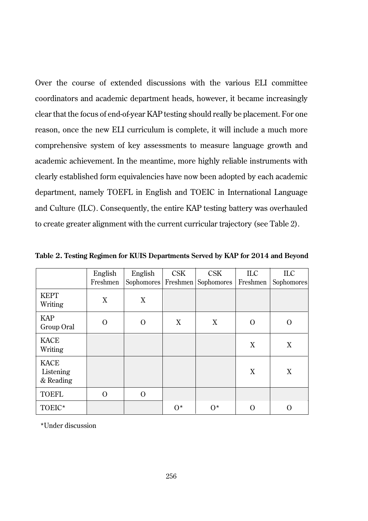Over the course of extended discussions with the various ELI committee coordinators and academic department heads, however, it became increasingly clear that the focus of end-of-year KAP testing should really be placement. For one reason, once the new ELI curriculum is complete, it will include a much more comprehensive system of key assessments to measure language growth and academic achievement. In the meantime, more highly reliable instruments with clearly established form equivalencies have now been adopted by each academic department, namely TOEFL in English and TOEIC in International Language and Culture (ILC). Consequently, the entire KAP testing battery was overhauled to create greater alignment with the current curricular trajectory (see Table 2).

|                                       | English<br>Freshmen | English<br>Sophomores | <b>CSK</b> | <b>CSK</b><br>Freshmen Sophomores | $\rm{ILC}$<br>Freshmen | ILC.<br>Sophomores |
|---------------------------------------|---------------------|-----------------------|------------|-----------------------------------|------------------------|--------------------|
| <b>KEPT</b><br>Writing                | X                   | X                     |            |                                   |                        |                    |
| <b>KAP</b><br>Group Oral              | $\Omega$            | $\Omega$              | X          | X                                 | $\Omega$               | Ω                  |
| <b>KACE</b><br>Writing                |                     |                       |            |                                   | X                      | X                  |
| <b>KACE</b><br>Listening<br>& Reading |                     |                       |            |                                   | X                      | X                  |
| <b>TOEFL</b>                          | $\Omega$            | $\Omega$              |            |                                   |                        |                    |
| TOEIC*                                |                     |                       | $0^*$      | $0^*$                             | O                      | റ                  |

**Table 2. Testing Regimen for KUIS Departments Served by KAP for 2014 and Beyond**

\*Under discussion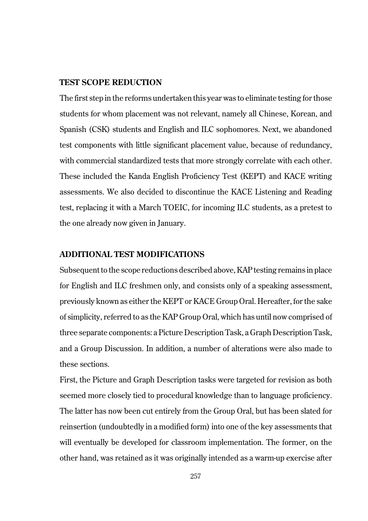## **TEST SCOPE REDUCTION**

The first step in the reforms undertaken this year was to eliminate testing for those students for whom placement was not relevant, namely all Chinese, Korean, and Spanish (CSK) students and English and ILC sophomores. Next, we abandoned test components with little significant placement value, because of redundancy, with commercial standardized tests that more strongly correlate with each other. These included the Kanda English Proficiency Test (KEPT) and KACE writing assessments. We also decided to discontinue the KACE Listening and Reading test, replacing it with a March TOEIC, for incoming ILC students, as a pretest to the one already now given in January.

## **ADDITIONAL TEST MODIFICATIONS**

Subsequent to the scope reductions described above, KAP testing remains in place for English and ILC freshmen only, and consists only of a speaking assessment, previously known as either the KEPT or KACE Group Oral. Hereafter, for the sake of simplicity, referred to as the KAP Group Oral, which has until now comprised of three separate components: a Picture Description Task, a Graph Description Task, and a Group Discussion. In addition, a number of alterations were also made to these sections.

First, the Picture and Graph Description tasks were targeted for revision as both seemed more closely tied to procedural knowledge than to language proficiency. The latter has now been cut entirely from the Group Oral, but has been slated for reinsertion (undoubtedly in a modified form) into one of the key assessments that will eventually be developed for classroom implementation. The former, on the other hand, was retained as it was originally intended as a warm-up exercise after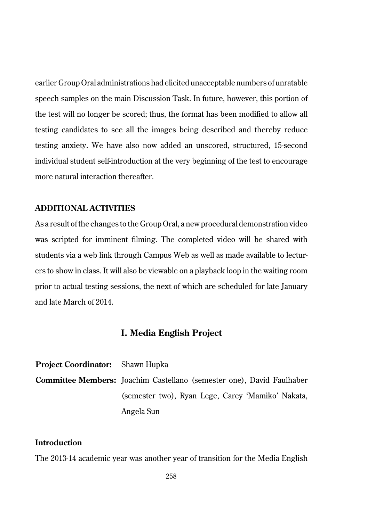earlier Group Oral administrations had elicited unacceptable numbers of unratable speech samples on the main Discussion Task. In future, however, this portion of the test will no longer be scored; thus, the format has been modified to allow all testing candidates to see all the images being described and thereby reduce testing anxiety. We have also now added an unscored, structured, 15-second individual student self-introduction at the very beginning of the test to encourage more natural interaction thereafter.

## **ADDITIONAL ACTIVITIES**

As a result of the changes to the Group Oral, a new procedural demonstration video was scripted for imminent filming. The completed video will be shared with students via a web link through Campus Web as well as made available to lecturers to show in class. It will also be viewable on a playback loop in the waiting room prior to actual testing sessions, the next of which are scheduled for late January and late March of 2014.

## **I. Media English Project**

| <b>Project Coordinator:</b> Shawn Hupka |                                                                              |
|-----------------------------------------|------------------------------------------------------------------------------|
|                                         | <b>Committee Members:</b> Joachim Castellano (semester one), David Faulhaber |
|                                         | (semester two), Ryan Lege, Carey 'Mamiko' Nakata,                            |
|                                         | Angela Sun                                                                   |

## **Introduction**

The 2013-14 academic year was another year of transition for the Media English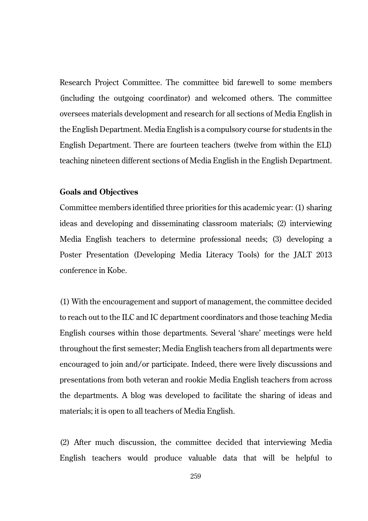Research Project Committee. The committee bid farewell to some members (including the outgoing coordinator) and welcomed others. The committee oversees materials development and research for all sections of Media English in the English Department. Media English is a compulsory course for students in the English Department. There are fourteen teachers (twelve from within the ELI) teaching nineteen different sections of Media English in the English Department.

#### **Goals and Objectives**

Committee members identified three priorities for this academic year: (1) sharing ideas and developing and disseminating classroom materials; (2) interviewing Media English teachers to determine professional needs; (3) developing a Poster Presentation (Developing Media Literacy Tools) for the JALT 2013 conference in Kobe.

(1) With the encouragement and support of management, the committee decided to reach out to the ILC and IC department coordinators and those teaching Media English courses within those departments. Several 'share' meetings were held throughout the first semester; Media English teachers from all departments were encouraged to join and/or participate. Indeed, there were lively discussions and presentations from both veteran and rookie Media English teachers from across the departments. A blog was developed to facilitate the sharing of ideas and materials; it is open to all teachers of Media English.

(2) After much discussion, the committee decided that interviewing Media English teachers would produce valuable data that will be helpful to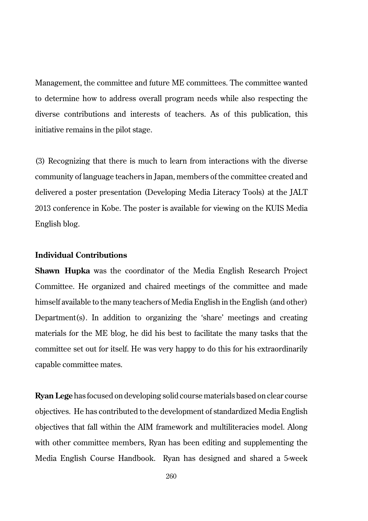Management, the committee and future ME committees. The committee wanted to determine how to address overall program needs while also respecting the diverse contributions and interests of teachers. As of this publication, this initiative remains in the pilot stage.

(3) Recognizing that there is much to learn from interactions with the diverse community of language teachers in Japan, members of the committee created and delivered a poster presentation (Developing Media Literacy Tools) at the JALT 2013 conference in Kobe. The poster is available for viewing on the KUIS Media English blog.

## **Individual Contributions**

**Shawn Hupka** was the coordinator of the Media English Research Project Committee. He organized and chaired meetings of the committee and made himself available to the many teachers of Media English in the English (and other) Department(s). In addition to organizing the 'share' meetings and creating materials for the ME blog, he did his best to facilitate the many tasks that the committee set out for itself. He was very happy to do this for his extraordinarily capable committee mates.

**Ryan Lege** has focused on developing solid course materials based on clear course objectives. He has contributed to the development of standardized Media English objectives that fall within the AIM framework and multiliteracies model. Along with other committee members, Ryan has been editing and supplementing the Media English Course Handbook. Ryan has designed and shared a 5-week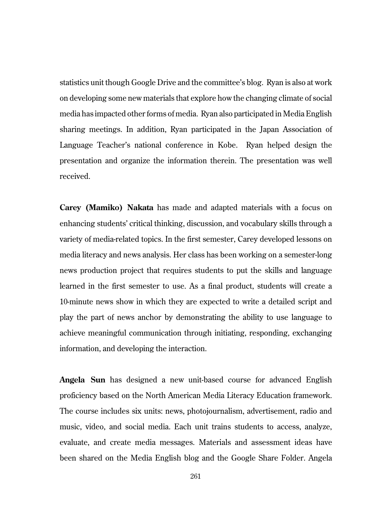statistics unit though Google Drive and the committee's blog. Ryan is also at work on developing some new materials that explore how the changing climate of social media has impacted other forms of media. Ryan also participated in Media English sharing meetings. In addition, Ryan participated in the Japan Association of Language Teacher's national conference in Kobe. Ryan helped design the presentation and organize the information therein. The presentation was well received.

**Carey (Mamiko) Nakata** has made and adapted materials with a focus on enhancing students' critical thinking, discussion, and vocabulary skills through a variety of media-related topics. In the first semester, Carey developed lessons on media literacy and news analysis. Her class has been working on a semester-long news production project that requires students to put the skills and language learned in the first semester to use. As a final product, students will create a 10-minute news show in which they are expected to write a detailed script and play the part of news anchor by demonstrating the ability to use language to achieve meaningful communication through initiating, responding, exchanging information, and developing the interaction.

**Angela Sun** has designed a new unit-based course for advanced English proficiency based on the North American Media Literacy Education framework. The course includes six units: news, photojournalism, advertisement, radio and music, video, and social media. Each unit trains students to access, analyze, evaluate, and create media messages. Materials and assessment ideas have been shared on the Media English blog and the Google Share Folder. Angela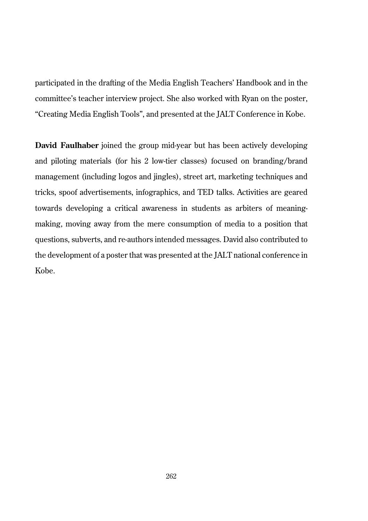participated in the drafting of the Media English Teachers' Handbook and in the committee's teacher interview project. She also worked with Ryan on the poster, "Creating Media English Tools", and presented at the JALT Conference in Kobe.

**David Faulhaber** joined the group mid-year but has been actively developing and piloting materials (for his 2 low-tier classes) focused on branding/brand management (including logos and jingles), street art, marketing techniques and tricks, spoof advertisements, infographics, and TED talks. Activities are geared towards developing a critical awareness in students as arbiters of meaningmaking, moving away from the mere consumption of media to a position that questions, subverts, and re-authors intended messages. David also contributed to the development of a poster that was presented at the JALT national conference in Kobe.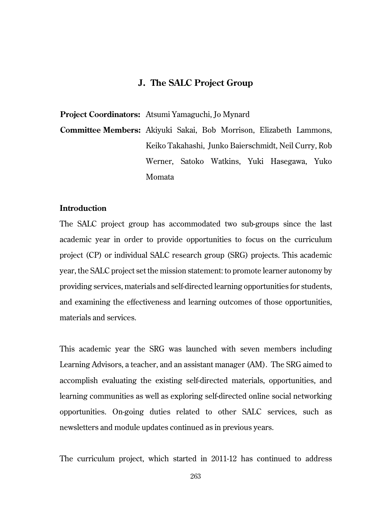## **J. The SALC Project Group**

**Project Coordinators:** Atsumi Yamaguchi, Jo Mynard

**Committee Members:** Akiyuki Sakai, Bob Morrison, Elizabeth Lammons, Keiko Takahashi, Junko Baierschmidt, Neil Curry, Rob Werner, Satoko Watkins, Yuki Hasegawa, Yuko Momata

## **Introduction**

The SALC project group has accommodated two sub-groups since the last academic year in order to provide opportunities to focus on the curriculum project (CP) or individual SALC research group (SRG) projects. This academic year, the SALC project set the mission statement: to promote learner autonomy by providing services, materials and self-directed learning opportunities for students, and examining the effectiveness and learning outcomes of those opportunities, materials and services.

This academic year the SRG was launched with seven members including Learning Advisors, a teacher, and an assistant manager (AM). The SRG aimed to accomplish evaluating the existing self-directed materials, opportunities, and learning communities as well as exploring self-directed online social networking opportunities. On-going duties related to other SALC services, such as newsletters and module updates continued as in previous years.

The curriculum project, which started in 2011-12 has continued to address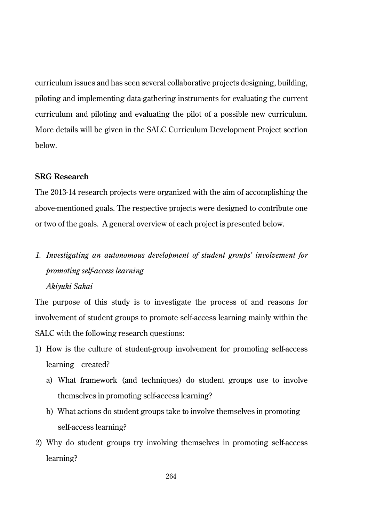curriculum issues and has seen several collaborative projects designing, building, piloting and implementing data-gathering instruments for evaluating the current curriculum and piloting and evaluating the pilot of a possible new curriculum. More details will be given in the SALC Curriculum Development Project section below.

### **SRG Research**

The 2013-14 research projects were organized with the aim of accomplishing the above-mentioned goals. The respective projects were designed to contribute one or two of the goals. A general overview of each project is presented below.

# *1. Investigating an autonomous development of student groups' involvement for promoting self-access learning*

### *Akiyuki Sakai*

The purpose of this study is to investigate the process of and reasons for involvement of student groups to promote self-access learning mainly within the SALC with the following research questions:

- 1) How is the culture of student-group involvement for promoting self-access learning created?
	- a) What framework (and techniques) do student groups use to involve themselves in promoting self-access learning?
	- b) What actions do student groups take to involve themselves in promoting self-access learning?
- 2) Why do student groups try involving themselves in promoting self-access learning?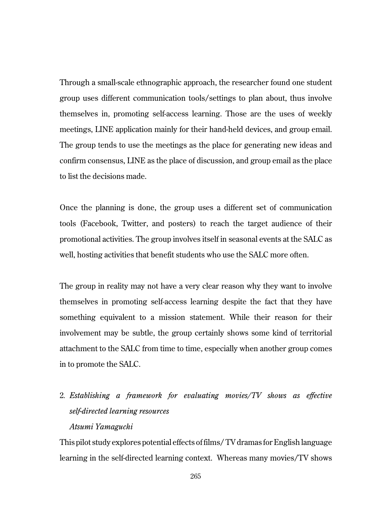Through a small-scale ethnographic approach, the researcher found one student group uses different communication tools/settings to plan about, thus involve themselves in, promoting self-access learning. Those are the uses of weekly meetings, LINE application mainly for their hand-held devices, and group email. The group tends to use the meetings as the place for generating new ideas and confirm consensus, LINE as the place of discussion, and group email as the place to list the decisions made.

Once the planning is done, the group uses a different set of communication tools (Facebook, Twitter, and posters) to reach the target audience of their promotional activities. The group involves itself in seasonal events at the SALC as well, hosting activities that benefit students who use the SALC more often.

The group in reality may not have a very clear reason why they want to involve themselves in promoting self-access learning despite the fact that they have something equivalent to a mission statement. While their reason for their involvement may be subtle, the group certainly shows some kind of territorial attachment to the SALC from time to time, especially when another group comes in to promote the SALC.

2*. Establishing a framework for evaluating movies/TV shows as effective self-directed learning resources Atsumi Yamaguchi*

This pilot study explores potential effects of films/ TV dramas for English language learning in the self-directed learning context. Whereas many movies/TV shows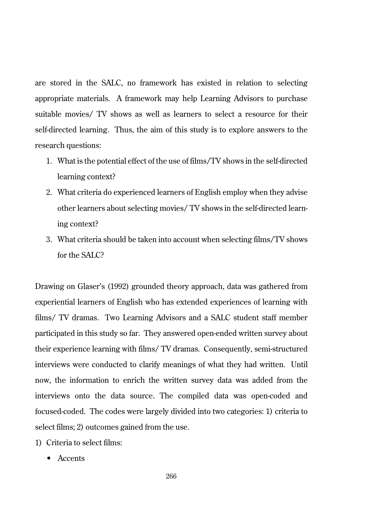are stored in the SALC, no framework has existed in relation to selecting appropriate materials. A framework may help Learning Advisors to purchase suitable movies/ TV shows as well as learners to select a resource for their self-directed learning. Thus, the aim of this study is to explore answers to the research questions:

- 1. What is the potential effect of the use of films/TV shows in the self-directed learning context?
- 2. What criteria do experienced learners of English employ when they advise other learners about selecting movies/ TV shows in the self-directed learning context?
- 3. What criteria should be taken into account when selecting films/TV shows for the SALC?

Drawing on Glaser's (1992) grounded theory approach, data was gathered from experiential learners of English who has extended experiences of learning with films/ TV dramas. Two Learning Advisors and a SALC student staff member participated in this study so far. They answered open-ended written survey about their experience learning with films/ TV dramas. Consequently, semi-structured interviews were conducted to clarify meanings of what they had written. Until now, the information to enrich the written survey data was added from the interviews onto the data source. The compiled data was open-coded and focused-coded. The codes were largely divided into two categories: 1) criteria to select films; 2) outcomes gained from the use.

- 1) Criteria to select films:
	- Accents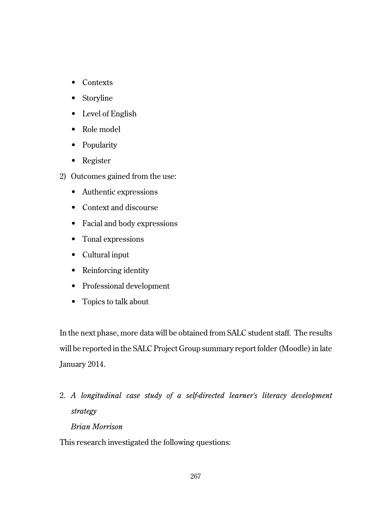- Contexts
- Storyline
- Level of English
- Role model
- Popularity
- Register
- 2) Outcomes gained from the use:
	- Authentic expressions
	- Context and discourse
	- Facial and body expressions
	- Tonal expressions
	- Cultural input
	- Reinforcing identity
	- Professional development
	- Topics to talk about

In the next phase, more data will be obtained from SALC student staff. The results will be reported in the SALC Project Group summary report folder (Moodle) in late January 2014.

2. *A longitudinal case study of a self-directed learner's literacy development strategy Brian Morrison*

This research investigated the following questions: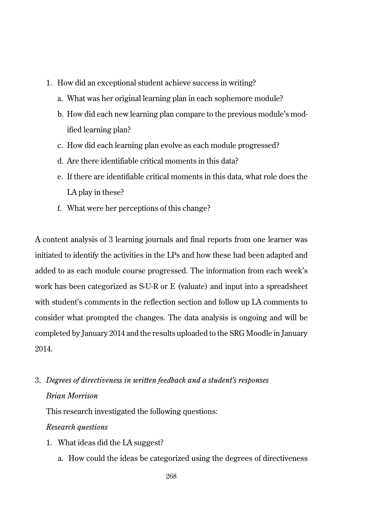- 1. How did an exceptional student achieve success in writing?
	- a. What was her original learning plan in each sophemore module?
	- b. How did each new learning plan compare to the previous module's modified learning plan?
	- c. How did each learning plan evolve as each module progressed?
	- d. Are there identifiable critical moments in this data?
	- e. If there are identifiable critical moments in this data, what role does the LA play in these?
	- f. What were her perceptions of this change?

A content analysis of 3 learning journals and final reports from one learner was initiated to identify the activities in the LPs and how these had been adapted and added to as each module course progressed. The information from each week's work has been categorized as S-U-R or E (valuate) and input into a spreadsheet with student's comments in the reflection section and follow up LA comments to consider what prompted the changes. The data analysis is ongoing and will be completed by January 2014 and the results uploaded to the SRG Moodle in January 2014.

3. *Degrees of directiveness in written feedback and a student's responses Brian Morrison*

This research investigated the following questions:

### *Research questions*

- 1. What ideas did the LA suggest?
	- a. How could the ideas be categorized using the degrees of directiveness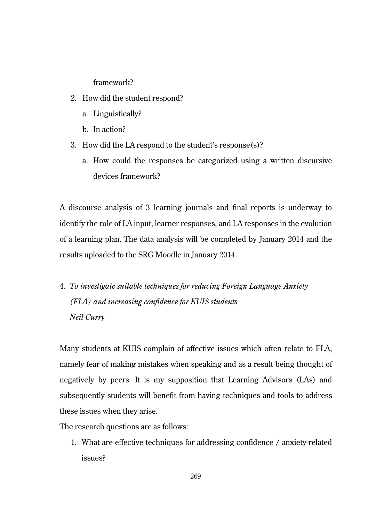framework?

- 2. How did the student respond?
	- a. Linguistically?
	- b. In action?
- 3. How did the LA respond to the student's response(s)?
	- a. How could the responses be categorized using a written discursive devices framework?

A discourse analysis of 3 learning journals and final reports is underway to identify the role of LA input, learner responses, and LA responses in the evolution of a learning plan. The data analysis will be completed by January 2014 and the results uploaded to the SRG Moodle in January 2014.

4. *To investigate suitable techniques for reducing Foreign Language Anxiety (FLA) and increasing confidence for KUIS students Neil Curry*

Many students at KUIS complain of affective issues which often relate to FLA, namely fear of making mistakes when speaking and as a result being thought of negatively by peers. It is my supposition that Learning Advisors (LAs) and subsequently students will benefit from having techniques and tools to address these issues when they arise.

The research questions are as follows:

1. What are effective techniques for addressing confidence / anxiety-related issues?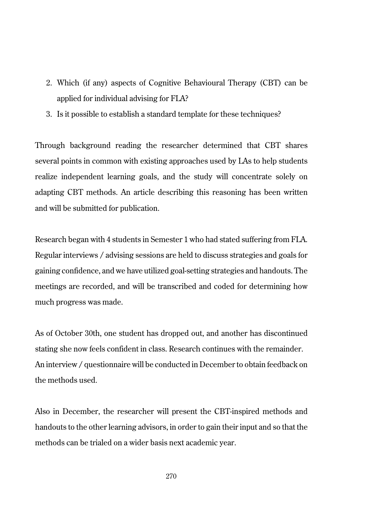- 2. Which (if any) aspects of Cognitive Behavioural Therapy (CBT) can be applied for individual advising for FLA?
- 3. Is it possible to establish a standard template for these techniques?

Through background reading the researcher determined that CBT shares several points in common with existing approaches used by LAs to help students realize independent learning goals, and the study will concentrate solely on adapting CBT methods. An article describing this reasoning has been written and will be submitted for publication.

Research began with 4 students in Semester 1 who had stated suffering from FLA. Regular interviews / advising sessions are held to discuss strategies and goals for gaining confidence, and we have utilized goal-setting strategies and handouts. The meetings are recorded, and will be transcribed and coded for determining how much progress was made.

As of October 30th, one student has dropped out, and another has discontinued stating she now feels confident in class. Research continues with the remainder. An interview / questionnaire will be conducted in December to obtain feedback on the methods used.

Also in December, the researcher will present the CBT-inspired methods and handouts to the other learning advisors, in order to gain their input and so that the methods can be trialed on a wider basis next academic year.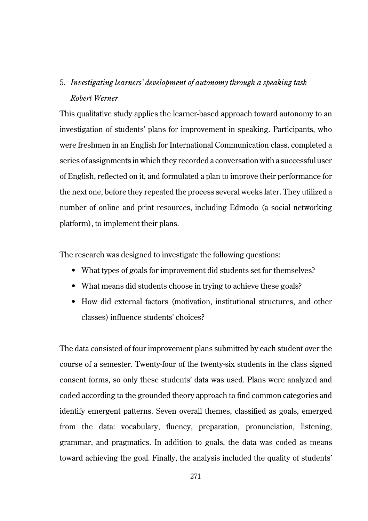## 5. *Investigating learners' development of autonomy through a speaking task Robert Werner*

This qualitative study applies the learner-based approach toward autonomy to an investigation of students' plans for improvement in speaking. Participants, who were freshmen in an English for International Communication class, completed a series of assignments in which they recorded a conversation with a successful user of English, reflected on it, and formulated a plan to improve their performance for the next one, before they repeated the process several weeks later. They utilized a number of online and print resources, including Edmodo (a social networking platform), to implement their plans.

The research was designed to investigate the following questions:

- What types of goals for improvement did students set for themselves?
- What means did students choose in trying to achieve these goals?
- How did external factors (motivation, institutional structures, and other classes) influence students' choices?

The data consisted of four improvement plans submitted by each student over the course of a semester. Twenty-four of the twenty-six students in the class signed consent forms, so only these students' data was used. Plans were analyzed and coded according to the grounded theory approach to find common categories and identify emergent patterns. Seven overall themes, classified as goals, emerged from the data: vocabulary, fluency, preparation, pronunciation, listening, grammar, and pragmatics. In addition to goals, the data was coded as means toward achieving the goal. Finally, the analysis included the quality of students'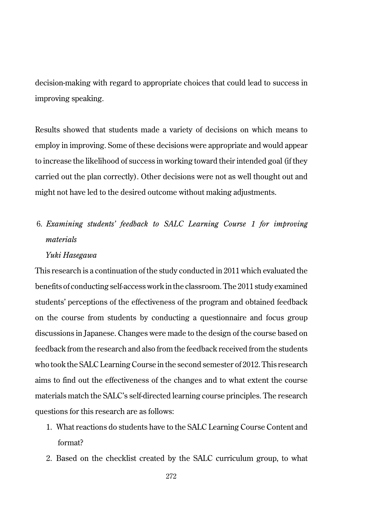decision-making with regard to appropriate choices that could lead to success in improving speaking.

Results showed that students made a variety of decisions on which means to employ in improving. Some of these decisions were appropriate and would appear to increase the likelihood of success in working toward their intended goal (if they carried out the plan correctly). Other decisions were not as well thought out and might not have led to the desired outcome without making adjustments.

## 6. *Examining students' feedback to SALC Learning Course 1 for improving materials*

### *Yuki Hasegawa*

This research is a continuation of the study conducted in 2011 which evaluated the benefits of conducting self-access work in the classroom. The 2011 study examined students' perceptions of the effectiveness of the program and obtained feedback on the course from students by conducting a questionnaire and focus group discussions in Japanese. Changes were made to the design of the course based on feedback from the research and also from the feedback received from the students who took the SALC Learning Course in the second semester of 2012. This research aims to find out the effectiveness of the changes and to what extent the course materials match the SALC's self-directed learning course principles. The research questions for this research are as follows:

- 1. What reactions do students have to the SALC Learning Course Content and format?
- 2. Based on the checklist created by the SALC curriculum group, to what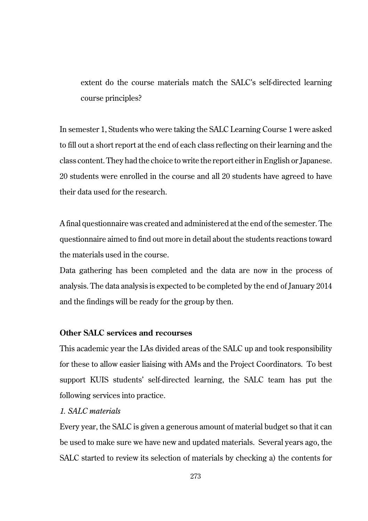extent do the course materials match the SALC's self-directed learning course principles?

In semester 1, Students who were taking the SALC Learning Course 1 were asked to fill out a short report at the end of each class reflecting on their learning and the class content. They had the choice to write the report either in English or Japanese. 20 students were enrolled in the course and all 20 students have agreed to have their data used for the research.

A final questionnaire was created and administered at the end of the semester. The questionnaire aimed to find out more in detail about the students reactions toward the materials used in the course.

Data gathering has been completed and the data are now in the process of analysis. The data analysis is expected to be completed by the end of January 2014 and the findings will be ready for the group by then.

## **Other SALC services and recourses**

This academic year the LAs divided areas of the SALC up and took responsibility for these to allow easier liaising with AMs and the Project Coordinators. To best support KUIS students' self-directed learning, the SALC team has put the following services into practice.

## *1. SALC materials*

Every year, the SALC is given a generous amount of material budget so that it can be used to make sure we have new and updated materials. Several years ago, the SALC started to review its selection of materials by checking a) the contents for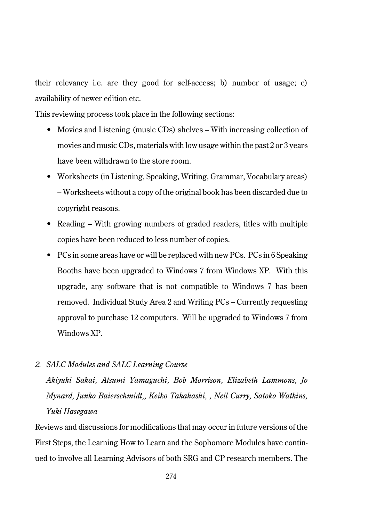their relevancy i.e. are they good for self-access; b) number of usage; c) availability of newer edition etc.

This reviewing process took place in the following sections:

- Movies and Listening (music CDs) shelves With increasing collection of movies and music CDs, materials with low usage within the past 2 or 3 years have been withdrawn to the store room.
- Worksheets (in Listening, Speaking, Writing, Grammar, Vocabulary areas) – Worksheets without a copy of the original book has been discarded due to copyright reasons.
- Reading With growing numbers of graded readers, titles with multiple copies have been reduced to less number of copies.
- PCs in some areas have or will be replaced with new PCs. PCs in 6 Speaking Booths have been upgraded to Windows 7 from Windows XP. With this upgrade, any software that is not compatible to Windows 7 has been removed. Individual Study Area 2 and Writing PCs – Currently requesting approval to purchase 12 computers. Will be upgraded to Windows 7 from Windows XP.

### *2. SALC Modules and SALC Learning Course*

*Akiyuki Sakai, Atsumi Yamaguchi, Bob Morrison, Elizabeth Lammons, Jo Mynard, Junko Baierschmidt,, Keiko Takahashi, , Neil Curry, Satoko Watkins, Yuki Hasegawa*

Reviews and discussions for modifications that may occur in future versions of the First Steps, the Learning How to Learn and the Sophomore Modules have continued to involve all Learning Advisors of both SRG and CP research members. The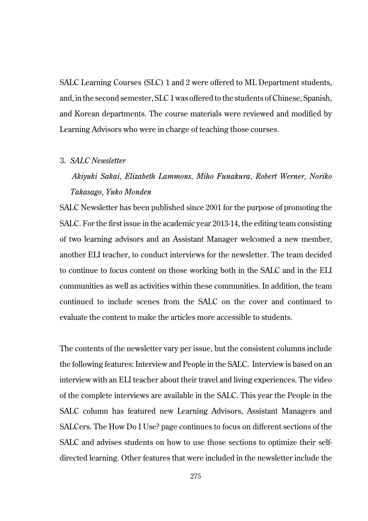SALC Learning Courses (SLC) 1 and 2 were offered to ML Department students, and, in the second semester, SLC 1 was offered to the students of Chinese, Spanish, and Korean departments. The course materials were reviewed and modified by Learning Advisors who were in charge of teaching those courses.

### 3. *SALC Newsletter*

## *Akiyuki Sakai, Elizabeth Lammons, Miho Funakura, Robert Werner, Noriko Takasago, Yuko Monden*

SALC Newsletter has been published since 2001 for the purpose of promoting the SALC. For the first issue in the academic year 2013-14, the editing team consisting of two learning advisors and an Assistant Manager welcomed a new member, another ELI teacher, to conduct interviews for the newsletter. The team decided to continue to focus content on those working both in the SALC and in the ELI communities as well as activities within these communities. In addition, the team continued to include scenes from the SALC on the cover and continued to evaluate the content to make the articles more accessible to students.

The contents of the newsletter vary per issue, but the consistent columns include the following features: Interview and People in the SALC. Interview is based on an interview with an ELI teacher about their travel and living experiences. The video of the complete interviews are available in the SALC. This year the People in the SALC column has featured new Learning Advisors, Assistant Managers and SALCers. The How Do I Use? page continues to focus on different sections of the SALC and advises students on how to use those sections to optimize their selfdirected learning. Other features that were included in the newsletter include the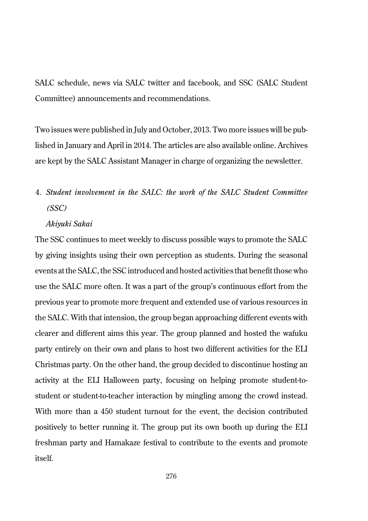SALC schedule, news via SALC twitter and facebook, and SSC (SALC Student Committee) announcements and recommendations.

Two issues were published in July and October, 2013. Two more issues will be published in January and April in 2014. The articles are also available online. Archives are kept by the SALC Assistant Manager in charge of organizing the newsletter.

# 4. *Student involvement in the SALC: the work of the SALC Student Committee (SSC)*

### *Akiyuki Sakai*

The SSC continues to meet weekly to discuss possible ways to promote the SALC by giving insights using their own perception as students. During the seasonal events at the SALC, the SSC introduced and hosted activities that benefit those who use the SALC more often. It was a part of the group's continuous effort from the previous year to promote more frequent and extended use of various resources in the SALC. With that intension, the group began approaching different events with clearer and different aims this year. The group planned and hosted the wafuku party entirely on their own and plans to host two different activities for the ELI Christmas party. On the other hand, the group decided to discontinue hosting an activity at the ELI Halloween party, focusing on helping promote student-tostudent or student-to-teacher interaction by mingling among the crowd instead. With more than a 450 student turnout for the event, the decision contributed positively to better running it. The group put its own booth up during the ELI freshman party and Hamakaze festival to contribute to the events and promote itself.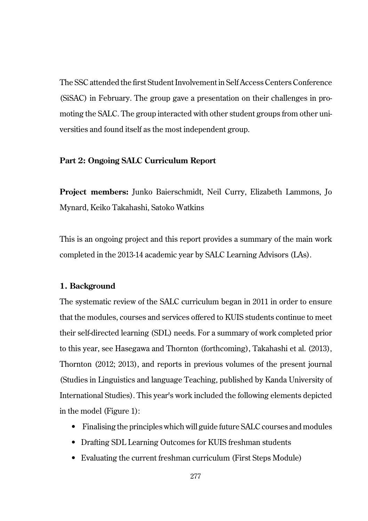The SSC attended the first Student Involvement in Self Access Centers Conference (SiSAC) in February. The group gave a presentation on their challenges in promoting the SALC. The group interacted with other student groups from other universities and found itself as the most independent group.

## **Part 2: Ongoing SALC Curriculum Report**

**Project members:** Junko Baierschmidt, Neil Curry, Elizabeth Lammons, Jo Mynard, Keiko Takahashi, Satoko Watkins

This is an ongoing project and this report provides a summary of the main work completed in the 2013-14 academic year by SALC Learning Advisors (LAs).

## **1. Background**

The systematic review of the SALC curriculum began in 2011 in order to ensure that the modules, courses and services offered to KUIS students continue to meet their self-directed learning (SDL) needs. For a summary of work completed prior to this year, see Hasegawa and Thornton (forthcoming), Takahashi et al. (2013), Thornton (2012; 2013), and reports in previous volumes of the present journal (Studies in Linguistics and language Teaching, published by Kanda University of International Studies). This year's work included the following elements depicted in the model (Figure 1):

- Finalising the principles which will guide future SALC courses and modules
- Drafting SDL Learning Outcomes for KUIS freshman students
- Evaluating the current freshman curriculum (First Steps Module)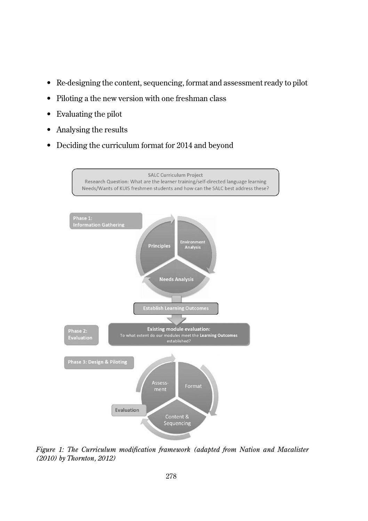- Re-designing the content, sequencing, format and assessment ready to pilot
- Piloting a the new version with one freshman class
- Evaluating the pilot
- Analysing the results
- Deciding the curriculum format for 2014 and beyond



*Figure 1: The Curriculum modification framework (adapted from Nation and Macalister (2010) by Thornton, 2012)*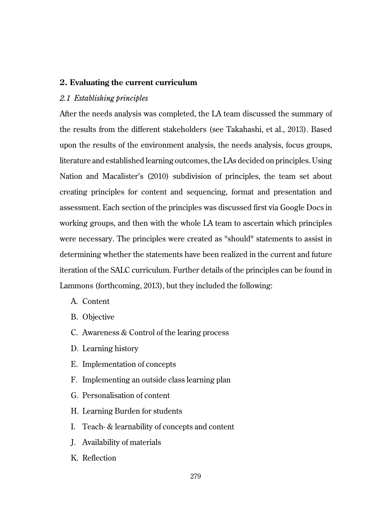### **2. Evaluating the current curriculum**

### *2.1 Establishing principles*

After the needs analysis was completed, the LA team discussed the summary of the results from the different stakeholders (see Takahashi, et al., 2013). Based upon the results of the environment analysis, the needs analysis, focus groups, literature and established learning outcomes, the LAs decided on principles. Using Nation and Macalister's (2010) subdivision of principles, the team set about creating principles for content and sequencing, format and presentation and assessment. Each section of the principles was discussed first via Google Docs in working groups, and then with the whole LA team to ascertain which principles were necessary. The principles were created as "should" statements to assist in determining whether the statements have been realized in the current and future iteration of the SALC curriculum. Further details of the principles can be found in Lammons (forthcoming, 2013), but they included the following:

- A. Content
- B. Objective
- C. Awareness & Control of the learing process
- D. Learning history
- E. Implementation of concepts
- F. Implementing an outside class learning plan
- G. Personalisation of content
- H. Learning Burden for students
- I. Teach- & learnability of concepts and content
- J. Availability of materials
- K. Reflection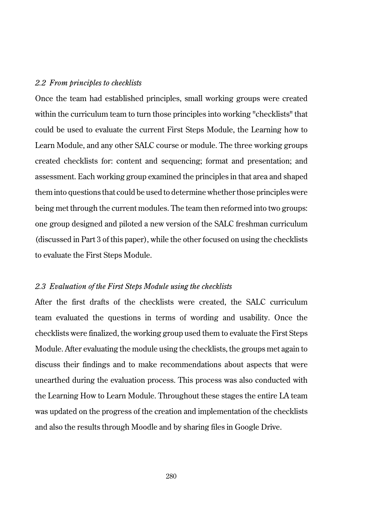#### *2.2 From principles to checklists*

Once the team had established principles, small working groups were created within the curriculum team to turn those principles into working "checklists" that could be used to evaluate the current First Steps Module, the Learning how to Learn Module, and any other SALC course or module. The three working groups created checklists for: content and sequencing; format and presentation; and assessment. Each working group examined the principles in that area and shaped them into questions that could be used to determine whether those principles were being met through the current modules. The team then reformed into two groups: one group designed and piloted a new version of the SALC freshman curriculum (discussed in Part 3 of this paper), while the other focused on using the checklists to evaluate the First Steps Module.

### *2.3 Evaluation of the First Steps Module using the checklists*

After the first drafts of the checklists were created, the SALC curriculum team evaluated the questions in terms of wording and usability. Once the checklists were finalized, the working group used them to evaluate the First Steps Module. After evaluating the module using the checklists, the groups met again to discuss their findings and to make recommendations about aspects that were unearthed during the evaluation process. This process was also conducted with the Learning How to Learn Module. Throughout these stages the entire LA team was updated on the progress of the creation and implementation of the checklists and also the results through Moodle and by sharing files in Google Drive.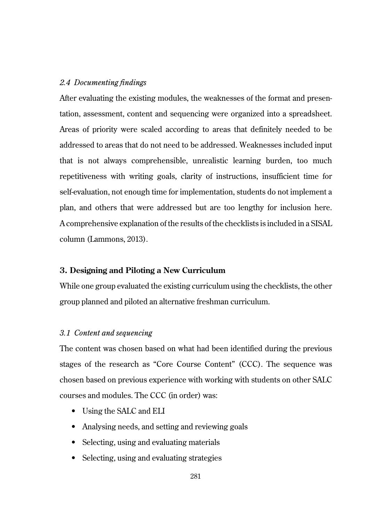### *2.4 Documenting findings*

After evaluating the existing modules, the weaknesses of the format and presentation, assessment, content and sequencing were organized into a spreadsheet. Areas of priority were scaled according to areas that definitely needed to be addressed to areas that do not need to be addressed. Weaknesses included input that is not always comprehensible, unrealistic learning burden, too much repetitiveness with writing goals, clarity of instructions, insufficient time for self-evaluation, not enough time for implementation, students do not implement a plan, and others that were addressed but are too lengthy for inclusion here. A comprehensive explanation of the results of the checklists is included in a SISAL column (Lammons, 2013).

### **3. Designing and Piloting a New Curriculum**

While one group evaluated the existing curriculum using the checklists, the other group planned and piloted an alternative freshman curriculum.

### *3.1 Content and sequencing*

The content was chosen based on what had been identified during the previous stages of the research as "Core Course Content" (CCC). The sequence was chosen based on previous experience with working with students on other SALC courses and modules. The CCC (in order) was:

- Using the SALC and ELI
- Analysing needs, and setting and reviewing goals
- Selecting, using and evaluating materials
- Selecting, using and evaluating strategies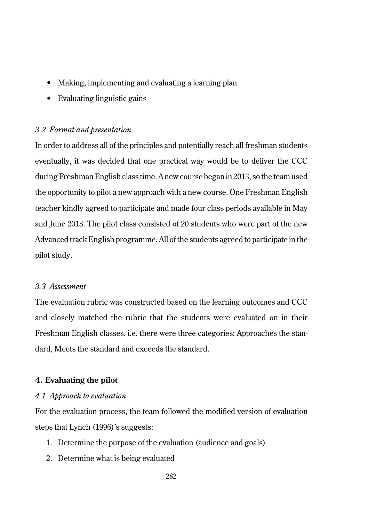- Making, implementing and evaluating a learning plan
- Evaluating linguistic gains

### *3.2 Format and presentation*

In order to address all of the principles and potentially reach all freshman students eventually, it was decided that one practical way would be to deliver the CCC during Freshman English class time. A new course began in 2013, so the team used the opportunity to pilot a new approach with a new course. One Freshman English teacher kindly agreed to participate and made four class periods available in May and June 2013. The pilot class consisted of 20 students who were part of the new Advanced track English programme. All of the students agreed to participate in the pilot study.

## *3.3 Assessment*

The evaluation rubric was constructed based on the learning outcomes and CCC and closely matched the rubric that the students were evaluated on in their Freshman English classes. i.e. there were three categories: Approaches the standard, Meets the standard and exceeds the standard.

### **4. Evaluating the pilot**

### *4.1 Approach to evaluation*

For the evaluation process, the team followed the modified version of evaluation steps that Lynch (1996)'s suggests:

- 1. Determine the purpose of the evaluation (audience and goals)
- 2. Determine what is being evaluated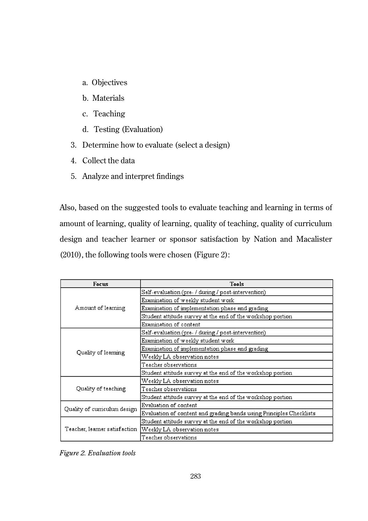- a. Objectives
- b. Materials
- c. Teaching
- d. Testing (Evaluation)
- 3. Determine how to evaluate (select a design)
- 4. Collect the data
- 5. Analyze and interpret findings

Also, based on the suggested tools to evaluate teaching and learning in terms of amount of learning, quality of learning, quality of teaching, quality of curriculum design and teacher learner or sponsor satisfaction by Nation and Macalister (2010), the following tools were chosen (Figure 2):

| <b>Focus</b>                  | Tools                                                               |  |  |
|-------------------------------|---------------------------------------------------------------------|--|--|
| Amount of learning            | Self-evaluation (pre- / during / post-intervention)                 |  |  |
|                               | Examination of weekly student work                                  |  |  |
|                               | Examination of implementation phase and grading                     |  |  |
|                               | Student attitude survey at the end of the workshop portion          |  |  |
|                               | Examination of content                                              |  |  |
| Quality of learning           | Self-evaluation (pre- / during / post-intervention)                 |  |  |
|                               | Examination of weekly student work                                  |  |  |
|                               | Examination of implementation phase and grading                     |  |  |
|                               | Weekly LA observation notes                                         |  |  |
|                               | Teacher observations                                                |  |  |
|                               | Student attitude survey at the end of the workshop portion          |  |  |
| Quality of teaching           | Weekly LA observation notes                                         |  |  |
|                               | Teacher observations                                                |  |  |
|                               | Student attitude survey at the end of the workshop portion          |  |  |
| Quality of curriculum design  | Evaluation of content                                               |  |  |
|                               | Evaluation of content and grading bands using Principles Checklists |  |  |
| Teacher, learner satisfaction | Student attitude survey at the end of the workshop portion          |  |  |
|                               | Weekly LA observation notes                                         |  |  |
|                               | Teacher observations                                                |  |  |

*Figure 2. Evaluation tools*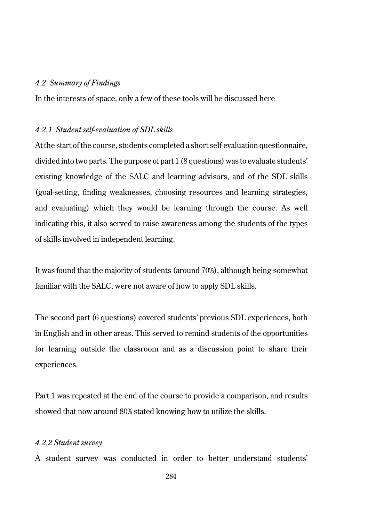### *4.2 Summary of Findings*

In the interests of space, only a few of these tools will be discussed here

#### *4.2.1 Student self-evaluation of SDL skills*

At the start of the course, students completed a short self-evaluation questionnaire, divided into two parts. The purpose of part 1 (8 questions) was to evaluate students' existing knowledge of the SALC and learning advisors, and of the SDL skills (goal-setting, finding weaknesses, choosing resources and learning strategies, and evaluating) which they would be learning through the course. As well indicating this, it also served to raise awareness among the students of the types of skills involved in independent learning.

It was found that the majority of students (around 70%), although being somewhat familiar with the SALC, were not aware of how to apply SDL skills.

The second part (6 questions) covered students' previous SDL experiences, both in English and in other areas. This served to remind students of the opportunities for learning outside the classroom and as a discussion point to share their experiences.

Part 1 was repeated at the end of the course to provide a comparison, and results showed that now around 80% stated knowing how to utilize the skills.

### *4.2.2 Student survey*

A student survey was conducted in order to better understand students'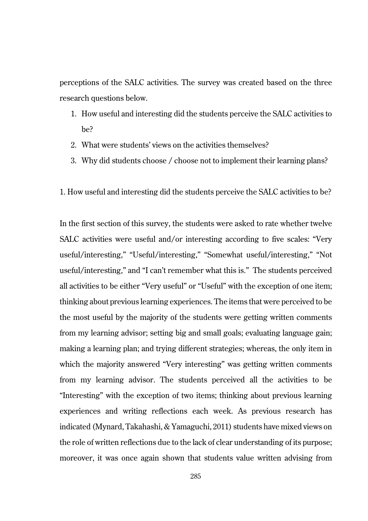perceptions of the SALC activities. The survey was created based on the three research questions below.

- 1. How useful and interesting did the students perceive the SALC activities to be?
- 2. What were students' views on the activities themselves?
- 3. Why did students choose / choose not to implement their learning plans?
- 1. How useful and interesting did the students perceive the SALC activities to be?

In the first section of this survey, the students were asked to rate whether twelve SALC activities were useful and/or interesting according to five scales: "Very useful/interesting," "Useful/interesting," "Somewhat useful/interesting," "Not useful/interesting," and "I can't remember what this is." The students perceived all activities to be either "Very useful" or "Useful" with the exception of one item; thinking about previous learning experiences. The items that were perceived to be the most useful by the majority of the students were getting written comments from my learning advisor; setting big and small goals; evaluating language gain; making a learning plan; and trying different strategies; whereas, the only item in which the majority answered "Very interesting" was getting written comments from my learning advisor. The students perceived all the activities to be "Interesting" with the exception of two items; thinking about previous learning experiences and writing reflections each week. As previous research has indicated (Mynard, Takahashi, & Yamaguchi, 2011) students have mixed views on the role of written reflections due to the lack of clear understanding of its purpose; moreover, it was once again shown that students value written advising from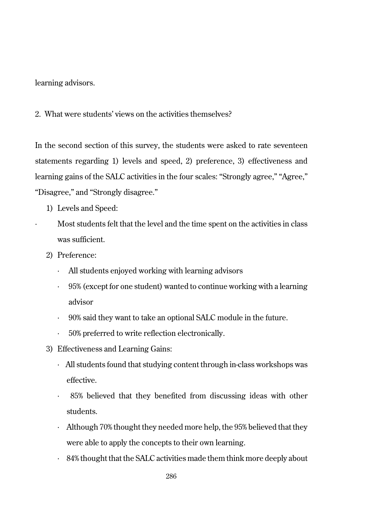learning advisors.

2. What were students' views on the activities themselves?

In the second section of this survey, the students were asked to rate seventeen statements regarding 1) levels and speed, 2) preference, 3) effectiveness and learning gains of the SALC activities in the four scales: "Strongly agree," "Agree," "Disagree," and "Strongly disagree."

- 1) Levels and Speed:
- Most students felt that the level and the time spent on the activities in class was sufficient.
- 2) Preference:
	- · All students enjoyed working with learning advisors
	- · 95% (except for one student) wanted to continue working with a learning advisor
	- · 90% said they want to take an optional SALC module in the future.
	- 50% preferred to write reflection electronically.
- 3) Effectiveness and Learning Gains:
	- · All students found that studying content through in-class workshops was effective.
	- · 85% believed that they benefited from discussing ideas with other students.
	- · Although 70% thought they needed more help, the 95% believed that they were able to apply the concepts to their own learning.
	- $\cdot$  84% thought that the SALC activities made them think more deeply about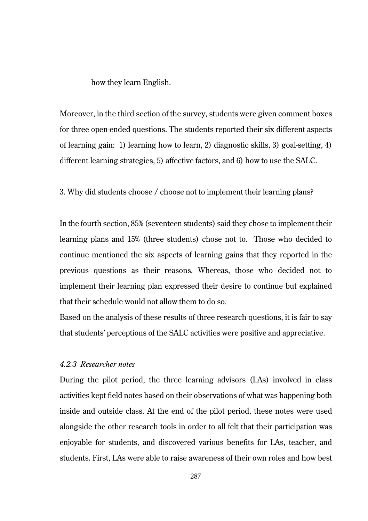how they learn English.

Moreover, in the third section of the survey, students were given comment boxes for three open-ended questions. The students reported their six different aspects of learning gain: 1) learning how to learn, 2) diagnostic skills, 3) goal-setting, 4) different learning strategies, 5) affective factors, and 6) how to use the SALC.

3. Why did students choose / choose not to implement their learning plans?

In the fourth section, 85% (seventeen students) said they chose to implement their learning plans and 15% (three students) chose not to. Those who decided to continue mentioned the six aspects of learning gains that they reported in the previous questions as their reasons. Whereas, those who decided not to implement their learning plan expressed their desire to continue but explained that their schedule would not allow them to do so.

Based on the analysis of these results of three research questions, it is fair to say that students' perceptions of the SALC activities were positive and appreciative.

## *4.2.3 Researcher notes*

During the pilot period, the three learning advisors (LAs) involved in class activities kept field notes based on their observations of what was happening both inside and outside class. At the end of the pilot period, these notes were used alongside the other research tools in order to all felt that their participation was enjoyable for students, and discovered various benefits for LAs, teacher, and students. First, LAs were able to raise awareness of their own roles and how best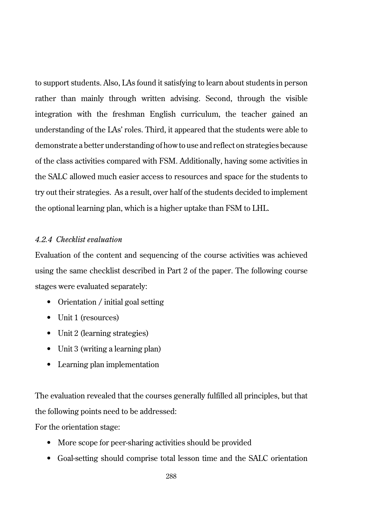to support students. Also, LAs found it satisfying to learn about students in person rather than mainly through written advising. Second, through the visible integration with the freshman English curriculum, the teacher gained an understanding of the LAs' roles. Third, it appeared that the students were able to demonstrate a better understanding of how to use and reflect on strategies because of the class activities compared with FSM. Additionally, having some activities in the SALC allowed much easier access to resources and space for the students to try out their strategies. As a result, over half of the students decided to implement the optional learning plan, which is a higher uptake than FSM to LHL.

## *4.2.4 Checklist evaluation*

Evaluation of the content and sequencing of the course activities was achieved using the same checklist described in Part 2 of the paper. The following course stages were evaluated separately:

- Orientation / initial goal setting
- Unit 1 (resources)
- Unit 2 (learning strategies)
- Unit 3 (writing a learning plan)
- Learning plan implementation

The evaluation revealed that the courses generally fulfilled all principles, but that the following points need to be addressed:

For the orientation stage:

- More scope for peer-sharing activities should be provided
- Goal-setting should comprise total lesson time and the SALC orientation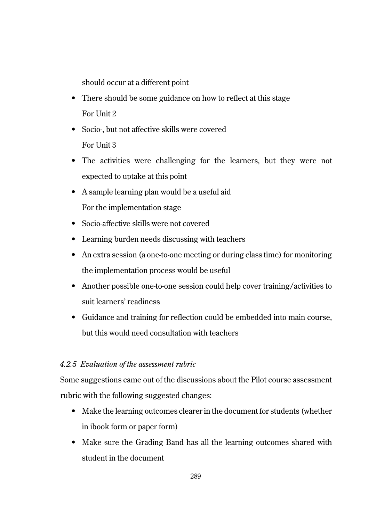should occur at a different point

- There should be some guidance on how to reflect at this stage For Unit 2
- Socio-, but not affective skills were covered For Unit 3
- The activities were challenging for the learners, but they were not expected to uptake at this point
- A sample learning plan would be a useful aid For the implementation stage
- Socio-affective skills were not covered
- Learning burden needs discussing with teachers
- An extra session (a one-to-one meeting or during class time) for monitoring the implementation process would be useful
- Another possible one-to-one session could help cover training/activities to suit learners' readiness
- Guidance and training for reflection could be embedded into main course, but this would need consultation with teachers

## *4.2.5 Evaluation of the assessment rubric*

Some suggestions came out of the discussions about the Pilot course assessment rubric with the following suggested changes:

- Make the learning outcomes clearer in the document for students (whether in ibook form or paper form)
- Make sure the Grading Band has all the learning outcomes shared with student in the document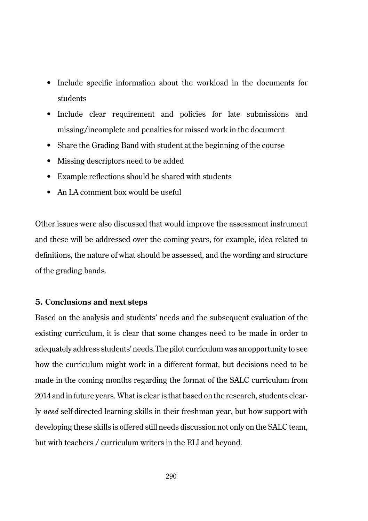- Include specific information about the workload in the documents for students
- Include clear requirement and policies for late submissions and missing/incomplete and penalties for missed work in the document
- Share the Grading Band with student at the beginning of the course
- Missing descriptors need to be added
- Example reflections should be shared with students
- An LA comment box would be useful

Other issues were also discussed that would improve the assessment instrument and these will be addressed over the coming years, for example, idea related to definitions, the nature of what should be assessed, and the wording and structure of the grading bands.

## **5. Conclusions and next steps**

Based on the analysis and students' needs and the subsequent evaluation of the existing curriculum, it is clear that some changes need to be made in order to adequately address students' needs.The pilot curriculum was an opportunity to see how the curriculum might work in a different format, but decisions need to be made in the coming months regarding the format of the SALC curriculum from 2014 and in future years. What is clear is that based on the research, students clearly *need* self-directed learning skills in their freshman year, but how support with developing these skills is offered still needs discussion not only on the SALC team, but with teachers / curriculum writers in the ELI and beyond.